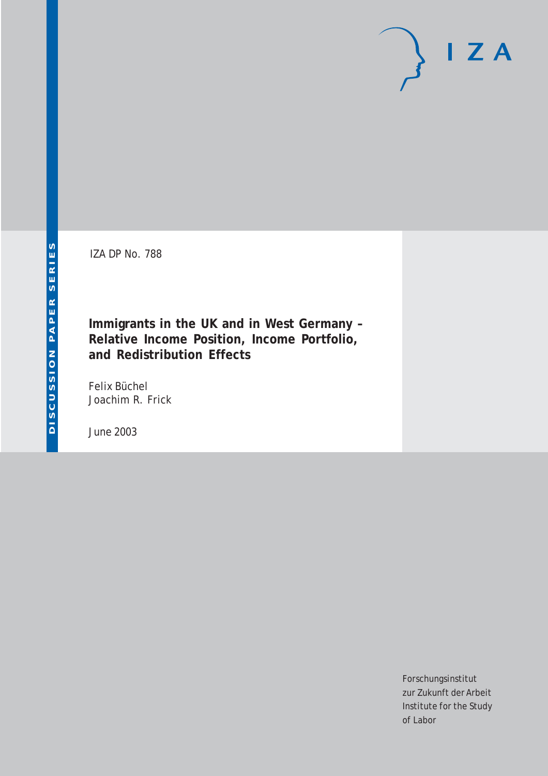IZA DP No. 788

## **Immigrants in the UK and in West Germany – Relative Income Position, Income Portfolio, and Redistribution Effects**

Felix Büchel Joachim R. Frick

June 2003

Forschungsinstitut zur Zukunft der Arbeit Institute for the Study of Labor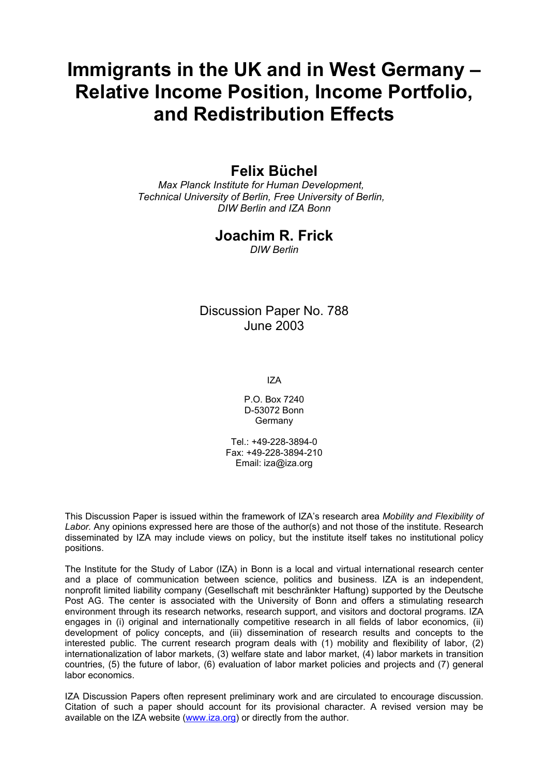# **Immigrants in the UK and in West Germany – Relative Income Position, Income Portfolio, and Redistribution Effects**

## **Felix Büchel**

*Max Planck Institute for Human Development, Technical University of Berlin, Free University of Berlin, DIW Berlin and IZA Bonn* 

## **Joachim R. Frick**

*DIW Berlin*

## Discussion Paper No. 788 June 2003

IZA

P.O. Box 7240 D-53072 Bonn **Germany** 

Tel.: +49-228-3894-0 Fax: +49-228-3894-210 Email: [iza@iza.org](mailto:iza@iza.org)

This Discussion Paper is issued within the framework of IZA's research area *Mobility and Flexibility of Labor.* Any opinions expressed here are those of the author(s) and not those of the institute. Research disseminated by IZA may include views on policy, but the institute itself takes no institutional policy positions.

The Institute for the Study of Labor (IZA) in Bonn is a local and virtual international research center and a place of communication between science, politics and business. IZA is an independent, nonprofit limited liability company (Gesellschaft mit beschränkter Haftung) supported by the Deutsche Post AG. The center is associated with the University of Bonn and offers a stimulating research environment through its research networks, research support, and visitors and doctoral programs. IZA engages in (i) original and internationally competitive research in all fields of labor economics, (ii) development of policy concepts, and (iii) dissemination of research results and concepts to the interested public. The current research program deals with (1) mobility and flexibility of labor, (2) internationalization of labor markets, (3) welfare state and labor market, (4) labor markets in transition countries, (5) the future of labor, (6) evaluation of labor market policies and projects and (7) general labor economics.

IZA Discussion Papers often represent preliminary work and are circulated to encourage discussion. Citation of such a paper should account for its provisional character. A revised version may be available on the IZA website ([www.iza.org](http://www.iza.org/)) or directly from the author.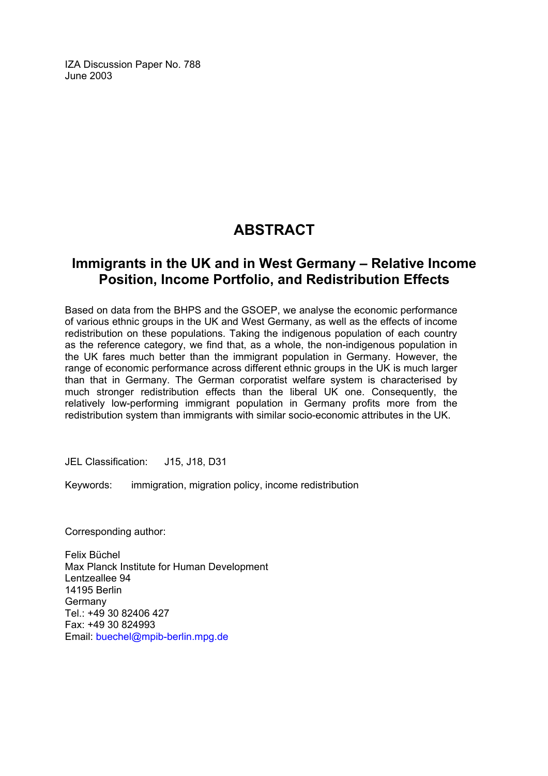IZA Discussion Paper No. 788 June 2003

## **ABSTRACT**

## **Immigrants in the UK and in West Germany – Relative Income Position, Income Portfolio, and Redistribution Effects**

Based on data from the BHPS and the GSOEP, we analyse the economic performance of various ethnic groups in the UK and West Germany, as well as the effects of income redistribution on these populations. Taking the indigenous population of each country as the reference category, we find that, as a whole, the non-indigenous population in the UK fares much better than the immigrant population in Germany. However, the range of economic performance across different ethnic groups in the UK is much larger than that in Germany. The German corporatist welfare system is characterised by much stronger redistribution effects than the liberal UK one. Consequently, the relatively low-performing immigrant population in Germany profits more from the redistribution system than immigrants with similar socio-economic attributes in the UK.

JEL Classification: J15, J18, D31

Keywords: immigration, migration policy, income redistribution

Corresponding author:

Felix Büchel Max Planck Institute for Human Development Lentzeallee 94 14195 Berlin Germany Tel.: +49 30 82406 427 Fax: +49 30 824993 Email: [buechel@mpib-berlin.mpg.de](mailto:buechel@mpib-berlin.mpg.de)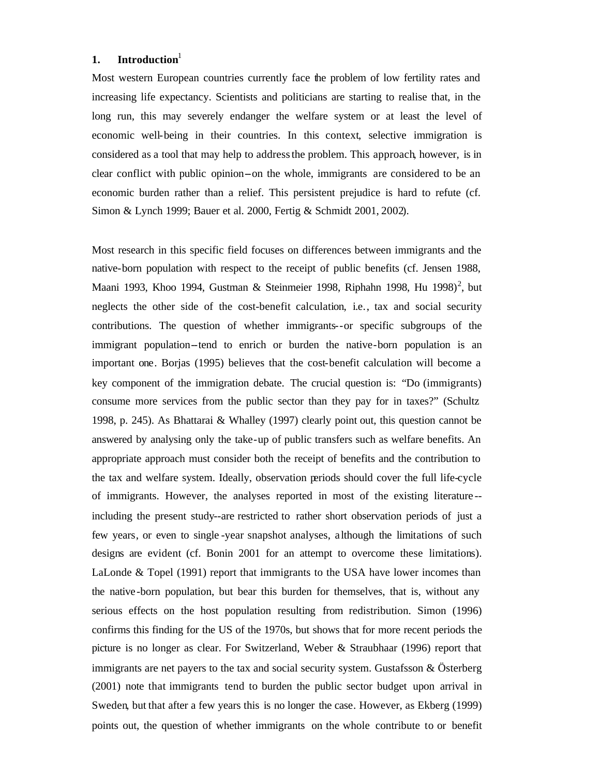### 1. **Introduction**

Most western European countries currently face the problem of low fertility rates and increasing life expectancy. Scientists and politicians are starting to realise that, in the long run, this may severely endanger the welfare system or at least the level of economic well-being in their countries. In this context, selective immigration is considered as a tool that may help to addressthe problem. This approach, however, is in clear conflict with public opinion--on the whole, immigrants are considered to be an economic burden rather than a relief. This persistent prejudice is hard to refute (cf. Simon & Lynch 1999; Bauer et al. 2000, Fertig & Schmidt 2001, 2002).

Most research in this specific field focuses on differences between immigrants and the native-born population with respect to the receipt of public benefits (cf. Jensen 1988, Maani 1993, Khoo 1994, Gustman & Steinmeier 1998, Riphahn 1998, Hu 1998)<sup>2</sup>, but neglects the other side of the cost-benefit calculation, i.e., tax and social security contributions. The question of whether immigrants--or specific subgroups of the immigrant population--tend to enrich or burden the native-born population is an important one. Borjas (1995) believes that the cost-benefit calculation will become a key component of the immigration debate. The crucial question is: "Do (immigrants) consume more services from the public sector than they pay for in taxes?" (Schultz 1998, p. 245). As Bhattarai & Whalley (1997) clearly point out, this question cannot be answered by analysing only the take-up of public transfers such as welfare benefits. An appropriate approach must consider both the receipt of benefits and the contribution to the tax and welfare system. Ideally, observation periods should cover the full life-cycle of immigrants. However, the analyses reported in most of the existing literature - including the present study--are restricted to rather short observation periods of just a few years, or even to single -year snapshot analyses, although the limitations of such designs are evident (cf. Bonin 2001 for an attempt to overcome these limitations). LaLonde & Topel (1991) report that immigrants to the USA have lower incomes than the native -born population, but bear this burden for themselves, that is, without any serious effects on the host population resulting from redistribution. Simon (1996) confirms this finding for the US of the 1970s, but shows that for more recent periods the picture is no longer as clear. For Switzerland, Weber & Straubhaar (1996) report that immigrants are net payers to the tax and social security system. Gustafsson  $\&$  Österberg (2001) note that immigrants tend to burden the public sector budget upon arrival in Sweden, but that after a few years this is no longer the case. However, as Ekberg (1999) points out, the question of whether immigrants on the whole contribute to or benefit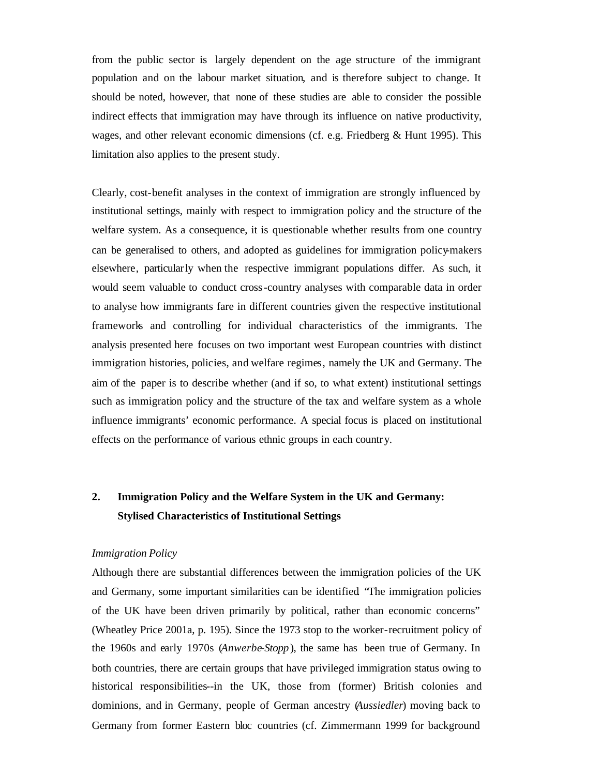from the public sector is largely dependent on the age structure of the immigrant population and on the labour market situation, and is therefore subject to change. It should be noted, however, that none of these studies are able to consider the possible indirect effects that immigration may have through its influence on native productivity, wages, and other relevant economic dimensions (cf. e.g. Friedberg & Hunt 1995). This limitation also applies to the present study.

Clearly, cost-benefit analyses in the context of immigration are strongly influenced by institutional settings, mainly with respect to immigration policy and the structure of the welfare system. As a consequence, it is questionable whether results from one country can be generalised to others, and adopted as guidelines for immigration policy-makers elsewhere, particularly when the respective immigrant populations differ. As such, it would seem valuable to conduct cross-country analyses with comparable data in order to analyse how immigrants fare in different countries given the respective institutional frameworks and controlling for individual characteristics of the immigrants. The analysis presented here focuses on two important west European countries with distinct immigration histories, policies, and welfare regimes, namely the UK and Germany. The aim of the paper is to describe whether (and if so, to what extent) institutional settings such as immigration policy and the structure of the tax and welfare system as a whole influence immigrants' economic performance. A special focus is placed on institutional effects on the performance of various ethnic groups in each country.

## **2. Immigration Policy and the Welfare System in the UK and Germany: Stylised Characteristics of Institutional Settings**

#### *Immigration Policy*

Although there are substantial differences between the immigration policies of the UK and Germany, some important similarities can be identified. "The immigration policies of the UK have been driven primarily by political, rather than economic concerns" (Wheatley Price 2001a, p. 195). Since the 1973 stop to the worker-recruitment policy of the 1960s and early 1970s (*Anwerbe-Stopp*), the same has been true of Germany. In both countries, there are certain groups that have privileged immigration status owing to historical responsibilities--in the UK, those from (former) British colonies and dominions, and in Germany, people of German ancestry (*Aussiedler*) moving back to Germany from former Eastern bloc countries (cf. Zimmermann 1999 for background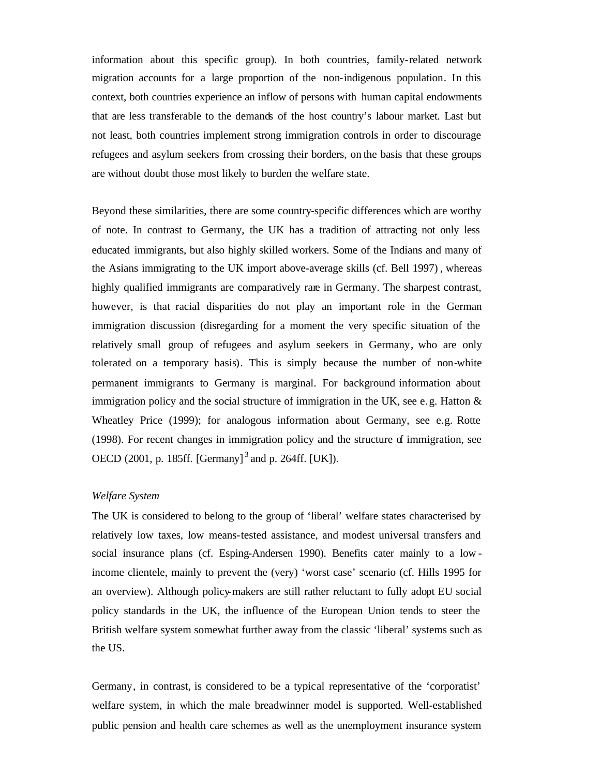information about this specific group). In both countries, family-related network migration accounts for a large proportion of the non-indigenous population. In this context, both countries experience an inflow of persons with human capital endowments that are less transferable to the demands of the host country's labour market. Last but not least, both countries implement strong immigration controls in order to discourage refugees and asylum seekers from crossing their borders, on the basis that these groups are without doubt those most likely to burden the welfare state.

Beyond these similarities, there are some country-specific differences which are worthy of note. In contrast to Germany, the UK has a tradition of attracting not only less educated immigrants, but also highly skilled workers. Some of the Indians and many of the Asians immigrating to the UK import above-average skills (cf. Bell 1997) , whereas highly qualified immigrants are comparatively rare in Germany. The sharpest contrast, however, is that racial disparities do not play an important role in the German immigration discussion (disregarding for a moment the very specific situation of the relatively small group of refugees and asylum seekers in Germany, who are only tolerated on a temporary basis). This is simply because the number of non-white permanent immigrants to Germany is marginal. For background information about immigration policy and the social structure of immigration in the UK, see e.g. Hatton  $\&$ Wheatley Price (1999); for analogous information about Germany, see e.g. Rotte  $(1998)$ . For recent changes in immigration policy and the structure of immigration, see OECD (2001, p. 185ff. [Germany]<sup>3</sup> and p. 264ff. [UK]).

#### *Welfare System*

The UK is considered to belong to the group of 'liberal' welfare states characterised by relatively low taxes, low means-tested assistance, and modest universal transfers and social insurance plans (cf. Esping-Andersen 1990). Benefits cater mainly to a low income clientele, mainly to prevent the (very) 'worst case' scenario (cf. Hills 1995 for an overview). Although policy-makers are still rather reluctant to fully adopt EU social policy standards in the UK, the influence of the European Union tends to steer the British welfare system somewhat further away from the classic 'liberal' systems such as the US.

Germany, in contrast, is considered to be a typical representative of the 'corporatist' welfare system, in which the male breadwinner model is supported. Well-established public pension and health care schemes as well as the unemployment insurance system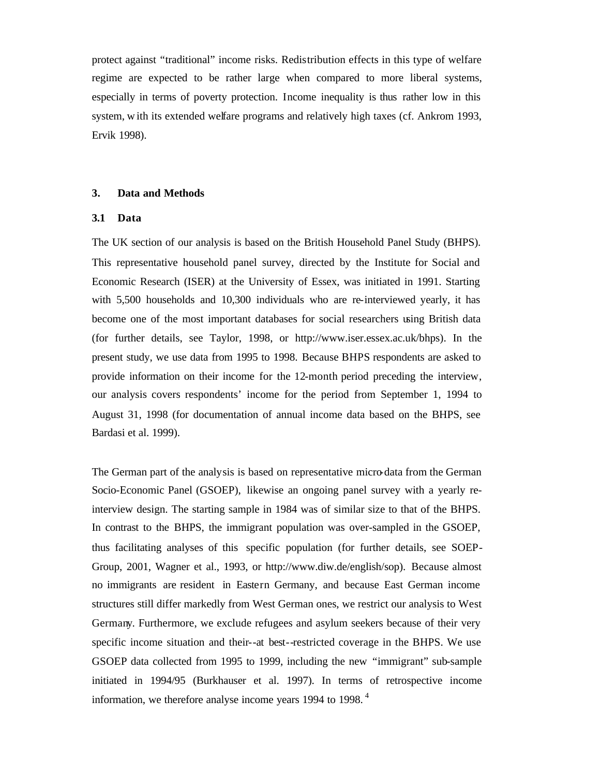protect against "traditional" income risks. Redistribution effects in this type of welfare regime are expected to be rather large when compared to more liberal systems, especially in terms of poverty protection. Income inequality is thus rather low in this system, w ith its extended welfare programs and relatively high taxes (cf. Ankrom 1993, Ervik 1998).

### **3. Data and Methods**

#### **3.1 Data**

The UK section of our analysis is based on the British Household Panel Study (BHPS). This representative household panel survey, directed by the Institute for Social and Economic Research (ISER) at the University of Essex, was initiated in 1991. Starting with 5,500 households and 10,300 individuals who are re-interviewed yearly, it has become one of the most important databases for social researchers using British data (for further details, see Taylor, 1998, or http://www.iser.essex.ac.uk/bhps). In the present study, we use data from 1995 to 1998. Because BHPS respondents are asked to provide information on their income for the 12-month period preceding the interview, our analysis covers respondents' income for the period from September 1, 1994 to August 31, 1998 (for documentation of annual income data based on the BHPS, see Bardasi et al. 1999).

The German part of the analysis is based on representative micro-data from the German Socio-Economic Panel (GSOEP), likewise an ongoing panel survey with a yearly reinterview design. The starting sample in 1984 was of similar size to that of the BHPS. In contrast to the BHPS, the immigrant population was over-sampled in the GSOEP, thus facilitating analyses of this specific population (for further details, see SOEP-Group, 2001, Wagner et al., 1993, or http://www.diw.de/english/sop). Because almost no immigrants are resident in Eastern Germany, and because East German income structures still differ markedly from West German ones, we restrict our analysis to West Germany. Furthermore, we exclude refugees and asylum seekers because of their very specific income situation and their--at best--restricted coverage in the BHPS. We use GSOEP data collected from 1995 to 1999, including the new "immigrant" sub-sample initiated in 1994/95 (Burkhauser et al. 1997). In terms of retrospective income information, we therefore analyse income years 1994 to 1998.<sup>4</sup>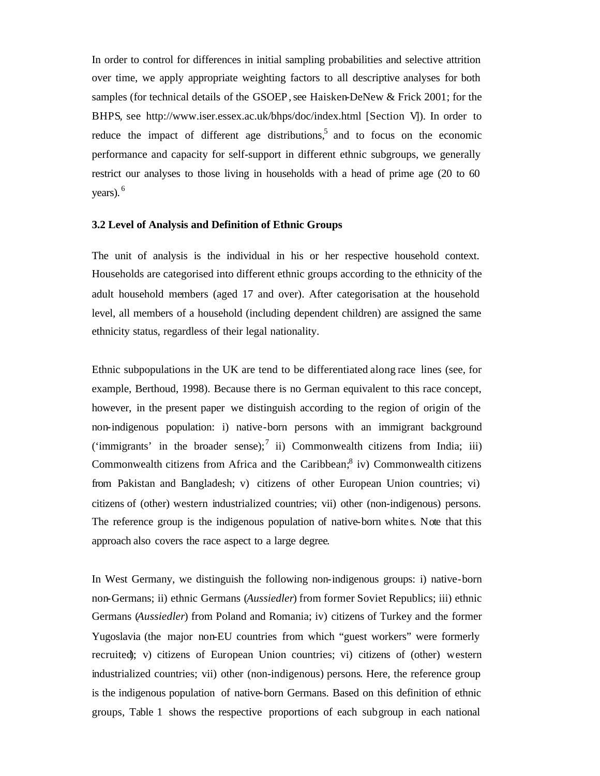In order to control for differences in initial sampling probabilities and selective attrition over time, we apply appropriate weighting factors to all descriptive analyses for both samples (for technical details of the GSOEP, see Haisken-DeNew  $\&$  Frick 2001; for the BHPS, see http://www.iser.essex.ac.uk/bhps/doc/index.html [Section V]). In order to reduce the impact of different age distributions,  $5$  and to focus on the economic performance and capacity for self-support in different ethnic subgroups, we generally restrict our analyses to those living in households with a head of prime age (20 to 60 years).<sup>6</sup>

#### **3.2 Level of Analysis and Definition of Ethnic Groups**

The unit of analysis is the individual in his or her respective household context. Households are categorised into different ethnic groups according to the ethnicity of the adult household members (aged 17 and over). After categorisation at the household level, all members of a household (including dependent children) are assigned the same ethnicity status, regardless of their legal nationality.

Ethnic subpopulations in the UK are tend to be differentiated along race lines (see, for example, Berthoud, 1998). Because there is no German equivalent to this race concept, however, in the present paper we distinguish according to the region of origin of the non-indigenous population: i) native-born persons with an immigrant background ('immigrants' in the broader sense);<sup>7</sup> ii) Commonwealth citizens from India; iii) Commonwealth citizens from Africa and the Caribbean; $\delta$  iv) Commonwealth citizens from Pakistan and Bangladesh; v) citizens of other European Union countries; vi) citizens of (other) western industrialized countries; vii) other (non-indigenous) persons. The reference group is the indigenous population of native-born white s. Note that this approach also covers the race aspect to a large degree.

In West Germany, we distinguish the following non-indigenous groups: i) native-born non-Germans; ii) ethnic Germans (*Aussiedler*) from former Soviet Republics; iii) ethnic Germans (*Aussiedler*) from Poland and Romania; iv) citizens of Turkey and the former Yugoslavia (the major non-EU countries from which "guest workers" were formerly recruited); v) citizens of European Union countries; vi) citizens of (other) western industrialized countries; vii) other (non-indigenous) persons. Here, the reference group is the indigenous population of native-born Germans. Based on this definition of ethnic groups, Table 1 shows the respective proportions of each subgroup in each national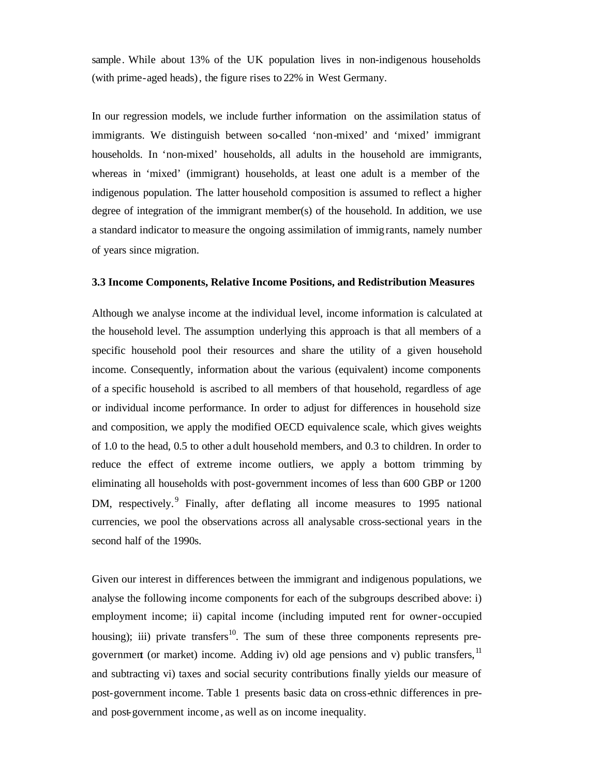sample. While about 13% of the UK population lives in non-indigenous households (with prime-aged heads), the figure rises to 22% in West Germany.

In our regression models, we include further information on the assimilation status of immigrants. We distinguish between so-called 'non-mixed' and 'mixed' immigrant households. In 'non-mixed' households, all adults in the household are immigrants, whereas in 'mixed' (immigrant) households, at least one adult is a member of the indigenous population. The latter household composition is assumed to reflect a higher degree of integration of the immigrant member(s) of the household. In addition, we use a standard indicator to measure the ongoing assimilation of immig rants, namely number of years since migration.

#### **3.3 Income Components, Relative Income Positions, and Redistribution Measures**

Although we analyse income at the individual level, income information is calculated at the household level. The assumption underlying this approach is that all members of a specific household pool their resources and share the utility of a given household income. Consequently, information about the various (equivalent) income components of a specific household is ascribed to all members of that household, regardless of age or individual income performance. In order to adjust for differences in household size and composition, we apply the modified OECD equivalence scale, which gives weights of 1.0 to the head, 0.5 to other adult household members, and 0.3 to children. In order to reduce the effect of extreme income outliers, we apply a bottom trimming by eliminating all households with post-government incomes of less than 600 GBP or 1200 DM, respectively.<sup>9</sup> Finally, after deflating all income measures to 1995 national currencies, we pool the observations across all analysable cross-sectional years in the second half of the 1990s.

Given our interest in differences between the immigrant and indigenous populations, we analyse the following income components for each of the subgroups described above: i) employment income; ii) capital income (including imputed rent for owner-occupied housing); iii) private transfers<sup>10</sup>. The sum of these three components represents pregovernment (or market) income. Adding iv) old age pensions and v) public transfers, <sup>11</sup> and subtracting vi) taxes and social security contributions finally yields our measure of post-government income. Table 1 presents basic data on cross-ethnic differences in preand post-government income , as well as on income inequality.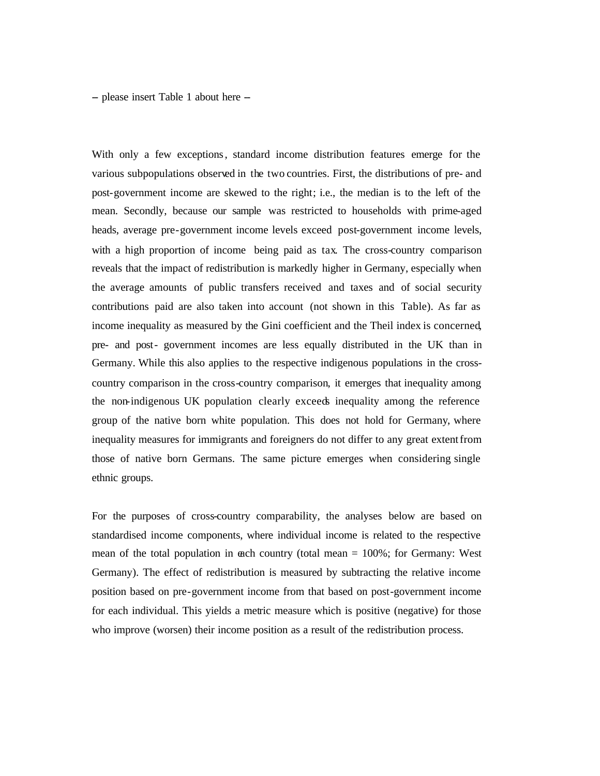-- please insert Table 1 about here --

With only a few exceptions, standard income distribution features emerge for the various subpopulations observed in the two countries. First, the distributions of pre- and post-government income are skewed to the right; i.e., the median is to the left of the mean. Secondly, because our sample was restricted to households with prime-aged heads, average pre-government income levels exceed post-government income levels, with a high proportion of income being paid as tax. The cross-country comparison reveals that the impact of redistribution is markedly higher in Germany, especially when the average amounts of public transfers received and taxes and of social security contributions paid are also taken into account (not shown in this Table). As far as income inequality as measured by the Gini coefficient and the Theil index is concerned, pre- and post- government incomes are less equally distributed in the UK than in Germany. While this also applies to the respective indigenous populations in the crosscountry comparison in the cross-country comparison, it emerges that inequality among the non-indigenous UK population clearly exceeds inequality among the reference group of the native born white population. This does not hold for Germany, where inequality measures for immigrants and foreigners do not differ to any great extent from those of native born Germans. The same picture emerges when considering single ethnic groups.

For the purposes of cross-country comparability, the analyses below are based on standardised income components, where individual income is related to the respective mean of the total population in each country (total mean  $= 100\%$ ; for Germany: West Germany). The effect of redistribution is measured by subtracting the relative income position based on pre-government income from that based on post-government income for each individual. This yields a metric measure which is positive (negative) for those who improve (worsen) their income position as a result of the redistribution process.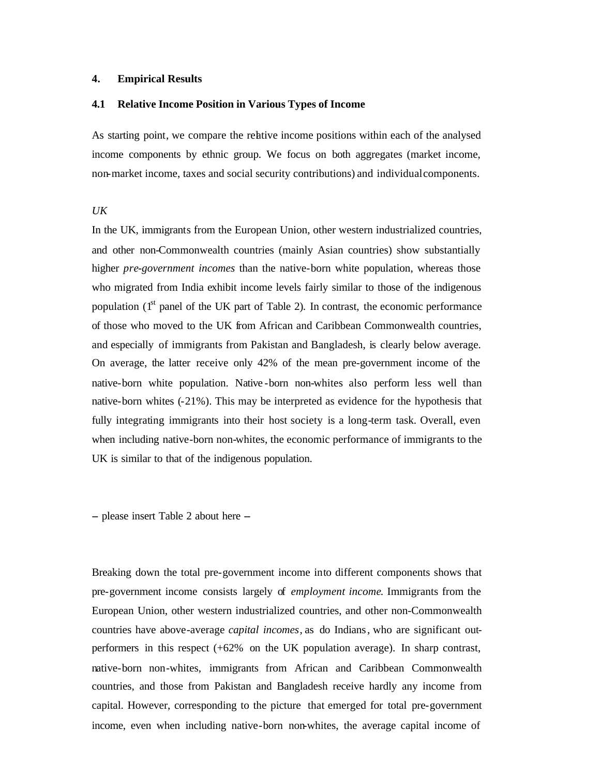#### **4. Empirical Results**

#### **4.1 Relative Income Position in Various Types of Income**

As starting point, we compare the relative income positions within each of the analysed income components by ethnic group. We focus on both aggregates (market income, non-market income, taxes and social security contributions) and individual components.

#### *UK*

In the UK, immigrants from the European Union, other western industrialized countries, and other non-Commonwealth countries (mainly Asian countries) show substantially higher *pre-government incomes* than the native-born white population, whereas those who migrated from India exhibit income levels fairly similar to those of the indigenous population  $(1<sup>st</sup>$  panel of the UK part of Table 2). In contrast, the economic performance of those who moved to the UK from African and Caribbean Commonwealth countries, and especially of immigrants from Pakistan and Bangladesh, is clearly below average. On average, the latter receive only 42% of the mean pre-government income of the native-born white population. Native -born non-whites also perform less well than native-born whites (-21%). This may be interpreted as evidence for the hypothesis that fully integrating immigrants into their host society is a long-term task. Overall, even when including native-born non-whites, the economic performance of immigrants to the UK is similar to that of the indigenous population.

-- please insert Table 2 about here --

Breaking down the total pre-government income into different components shows that pre-government income consists largely of *employment income*. Immigrants from the European Union, other western industrialized countries, and other non-Commonwealth countries have above-average *capital incomes*, as do Indians, who are significant outperformers in this respect (+62% on the UK population average). In sharp contrast, native-born non-whites, immigrants from African and Caribbean Commonwealth countries, and those from Pakistan and Bangladesh receive hardly any income from capital. However, corresponding to the picture that emerged for total pre-government income, even when including native-born non-whites, the average capital income of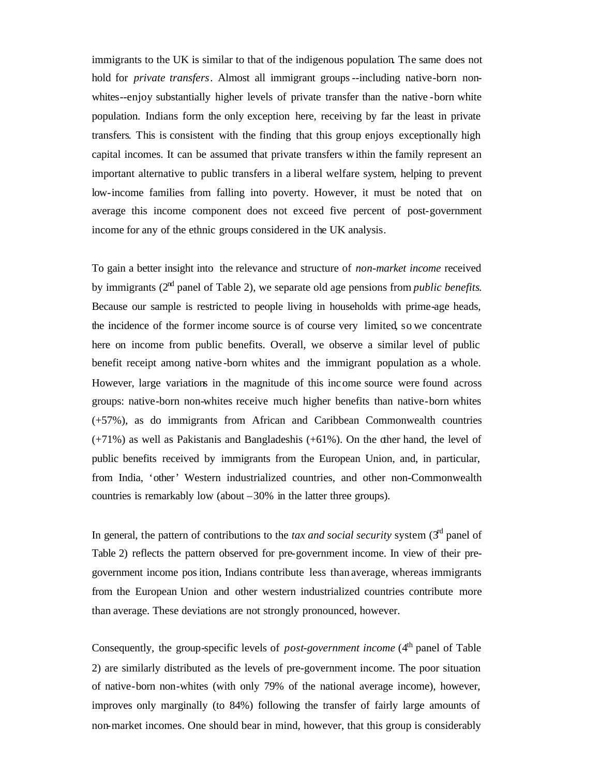immigrants to the UK is similar to that of the indigenous population. The same does not hold for *private transfers*. Almost all immigrant groups--including native-born nonwhites--enjoy substantially higher levels of private transfer than the native -born white population. Indians form the only exception here, receiving by far the least in private transfers. This is consistent with the finding that this group enjoys exceptionally high capital incomes. It can be assumed that private transfers w ithin the family represent an important alternative to public transfers in a liberal welfare system, helping to prevent low-income families from falling into poverty. However, it must be noted that on average this income component does not exceed five percent of post-government income for any of the ethnic groups considered in the UK analysis.

To gain a better insight into the relevance and structure of *non-market income* received by immigrants  $(2<sup>nt</sup>$  panel of Table 2), we separate old age pensions from *public benefits*. Because our sample is restricted to people living in households with prime-age heads, the incidence of the former income source is of course very limited, so we concentrate here on income from public benefits. Overall, we observe a similar level of public benefit receipt among native -born whites and the immigrant population as a whole. However, large variations in the magnitude of this income source were found across groups: native-born non-whites receive much higher benefits than native-born whites (+57%), as do immigrants from African and Caribbean Commonwealth countries  $(+71\%)$  as well as Pakistanis and Bangladeshis  $(+61\%)$ . On the other hand, the level of public benefits received by immigrants from the European Union, and, in particular, from India, 'other' Western industrialized countries, and other non-Commonwealth countries is remarkably low (about –30% in the latter three groups).

In general, the pattern of contributions to the *tax and social security* system  $(3<sup>rd</sup>$  panel of Table 2) reflects the pattern observed for pre-government income. In view of their pregovernment income position, Indians contribute less than average, whereas immigrants from the European Union and other western industrialized countries contribute more than average. These deviations are not strongly pronounced, however.

Consequently, the group-specific levels of *post-government income* (4<sup>th</sup> panel of Table 2) are similarly distributed as the levels of pre-government income. The poor situation of native-born non-whites (with only 79% of the national average income), however, improves only marginally (to 84%) following the transfer of fairly large amounts of non-market incomes. One should bear in mind, however, that this group is considerably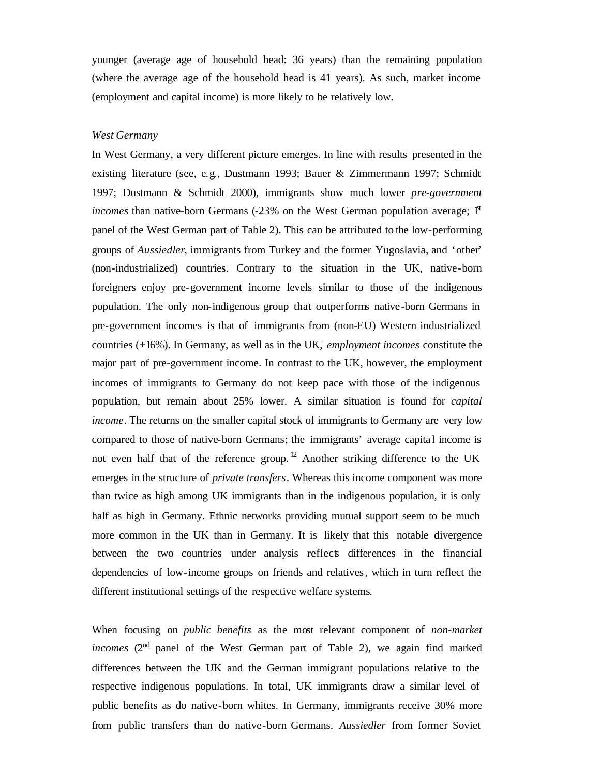younger (average age of household head: 36 years) than the remaining population (where the average age of the household head is 41 years). As such, market income (employment and capital income) is more likely to be relatively low.

#### *West Germany*

In West Germany, a very different picture emerges. In line with results presented in the existing literature (see, e.g., Dustmann 1993; Bauer & Zimmermann 1997; Schmidt 1997; Dustmann & Schmidt 2000), immigrants show much lower *pre-government incomes* than native-born Germans  $(-23\%)$  on the West German population average;  $1^{\%}$ panel of the West German part of Table 2). This can be attributed to the low-performing groups of *Aussiedler*, immigrants from Turkey and the former Yugoslavia, and 'other' (non-industrialized) countries. Contrary to the situation in the UK, native-born foreigners enjoy pre-government income levels similar to those of the indigenous population. The only non-indigenous group that outperforms native-born Germans in pre-government incomes is that of immigrants from (non-EU) Western industrialized countries (+16%). In Germany, as well as in the UK, *employment incomes* constitute the major part of pre-government income. In contrast to the UK, however, the employment incomes of immigrants to Germany do not keep pace with those of the indigenous population, but remain about 25% lower. A similar situation is found for *capital income*. The returns on the smaller capital stock of immigrants to Germany are very low compared to those of native-born Germans; the immigrants' average capital income is not even half that of the reference group.<sup>12</sup> Another striking difference to the UK emerges in the structure of *private transfers*. Whereas this income component was more than twice as high among UK immigrants than in the indigenous population, it is only half as high in Germany. Ethnic networks providing mutual support seem to be much more common in the UK than in Germany. It is likely that this notable divergence between the two countries under analysis reflects differences in the financial dependencies of low-income groups on friends and relatives, which in turn reflect the different institutional settings of the respective welfare systems.

When focusing on *public benefits* as the most relevant component of *non-market incomes* (2<sup>nd</sup> panel of the West German part of Table 2), we again find marked differences between the UK and the German immigrant populations relative to the respective indigenous populations. In total, UK immigrants draw a similar level of public benefits as do native-born whites. In Germany, immigrants receive 30% more from public transfers than do native-born Germans. *Aussiedler* from former Soviet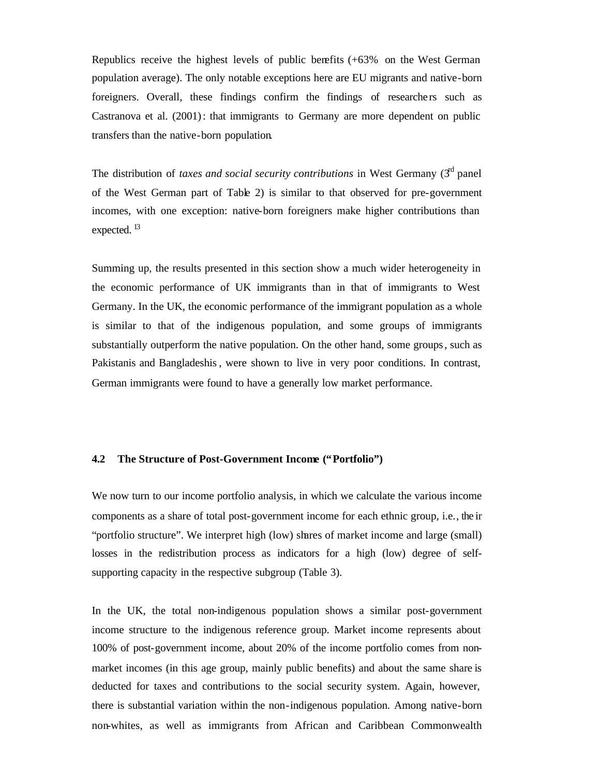Republics receive the highest levels of public benefits (+63% on the West German population average). The only notable exceptions here are EU migrants and native-born foreigners. Overall, these findings confirm the findings of researche rs such as Castranova et al. (2001): that immigrants to Germany are more dependent on public transfers than the native-born population.

The distribution of *taxes and social security contributions* in West Germany  $3^{rd}$  panel of the West German part of Table 2) is similar to that observed for pre-government incomes, with one exception: native-born foreigners make higher contributions than expected.<sup>13</sup>

Summing up, the results presented in this section show a much wider heterogeneity in the economic performance of UK immigrants than in that of immigrants to West Germany. In the UK, the economic performance of the immigrant population as a whole is similar to that of the indigenous population, and some groups of immigrants substantially outperform the native population. On the other hand, some groups, such as Pakistanis and Bangladeshis, were shown to live in very poor conditions. In contrast, German immigrants were found to have a generally low market performance.

#### **4.2 The Structure of Post-Government Income ("Portfolio")**

We now turn to our income portfolio analysis, in which we calculate the various income components as a share of total post-government income for each ethnic group, i.e., the ir "portfolio structure". We interpret high (low) shares of market income and large (small) losses in the redistribution process as indicators for a high (low) degree of selfsupporting capacity in the respective subgroup (Table 3).

In the UK, the total non-indigenous population shows a similar post-government income structure to the indigenous reference group. Market income represents about 100% of post-government income, about 20% of the income portfolio comes from nonmarket incomes (in this age group, mainly public benefits) and about the same share is deducted for taxes and contributions to the social security system. Again, however, there is substantial variation within the non-indigenous population. Among native-born non-whites, as well as immigrants from African and Caribbean Commonwealth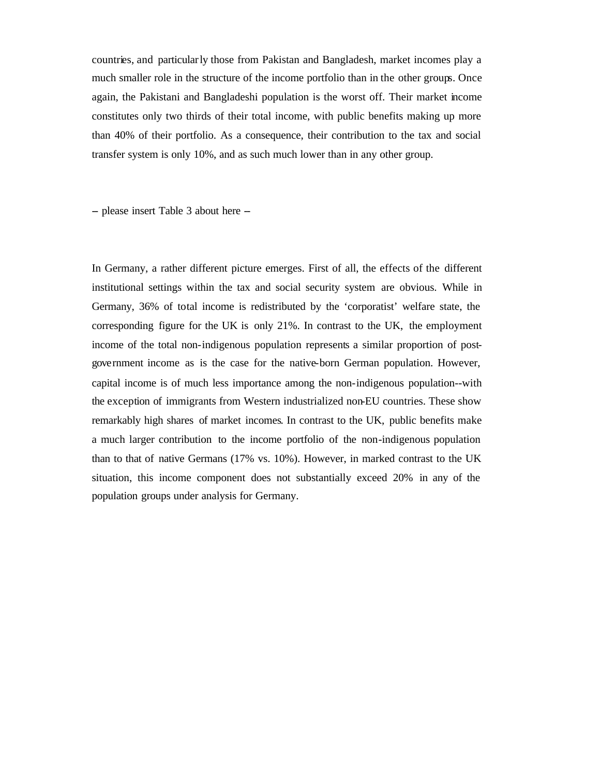countries, and particularly those from Pakistan and Bangladesh, market incomes play a much smaller role in the structure of the income portfolio than in the other groups. Once again, the Pakistani and Bangladeshi population is the worst off. Their market income constitutes only two thirds of their total income, with public benefits making up more than 40% of their portfolio. As a consequence, their contribution to the tax and social transfer system is only 10%, and as such much lower than in any other group.

-- please insert Table 3 about here --

In Germany, a rather different picture emerges. First of all, the effects of the different institutional settings within the tax and social security system are obvious. While in Germany, 36% of total income is redistributed by the 'corporatist' welfare state, the corresponding figure for the UK is only 21%. In contrast to the UK, the employment income of the total non-indigenous population represents a similar proportion of postgovernment income as is the case for the native-born German population. However, capital income is of much less importance among the non-indigenous population--with the exception of immigrants from Western industrialized non-EU countries. These show remarkably high shares of market incomes. In contrast to the UK, public benefits make a much larger contribution to the income portfolio of the non-indigenous population than to that of native Germans (17% vs. 10%). However, in marked contrast to the UK situation, this income component does not substantially exceed 20% in any of the population groups under analysis for Germany.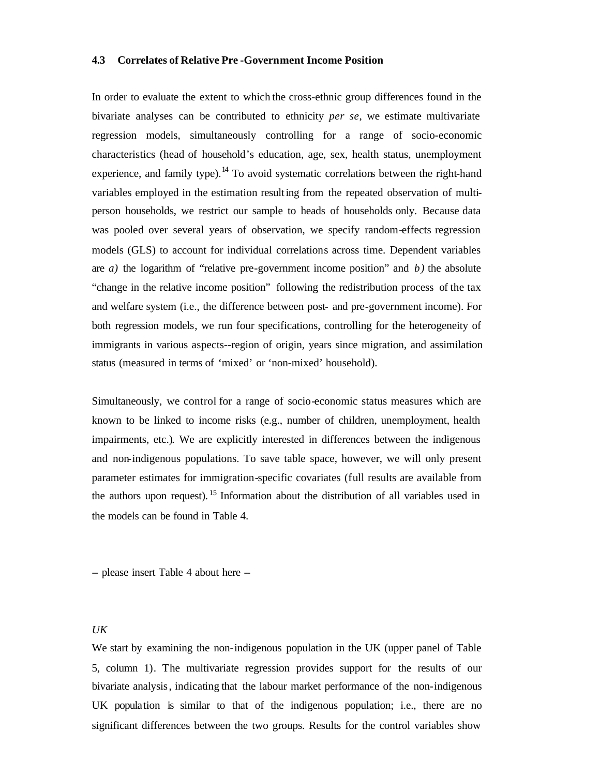#### **4.3 Correlates of Relative Pre -Government Income Position**

In order to evaluate the extent to which the cross-ethnic group differences found in the bivariate analyses can be contributed to ethnicity *per se*, we estimate multivariate regression models, simultaneously controlling for a range of socio-economic characteristics (head of household's education, age, sex, health status, unemployment experience, and family type).<sup>14</sup> To avoid systematic correlations between the right-hand variables employed in the estimation resulting from the repeated observation of multiperson households, we restrict our sample to heads of households only. Because data was pooled over several years of observation, we specify random-effects regression models (GLS) to account for individual correlations across time. Dependent variables are  $a$ ) the logarithm of "relative pre-government income position" and  $b$ ) the absolute "change in the relative income position" following the redistribution process of the tax and welfare system (i.e., the difference between post- and pre-government income). For both regression models, we run four specifications, controlling for the heterogeneity of immigrants in various aspects--region of origin, years since migration, and assimilation status (measured in terms of 'mixed' or 'non-mixed' household).

Simultaneously, we control for a range of socio-economic status measures which are known to be linked to income risks (e.g., number of children, unemployment, health impairments, etc.). We are explicitly interested in differences between the indigenous and non-indigenous populations. To save table space, however, we will only present parameter estimates for immigration-specific covariates (full results are available from the authors upon request). <sup>15</sup> Information about the distribution of all variables used in the models can be found in Table 4.

-- please insert Table 4 about here --

#### *UK*

We start by examining the non-indigenous population in the UK (upper panel of Table 5, column 1). The multivariate regression provides support for the results of our bivariate analysis, indicating that the labour market performance of the non-indigenous UK population is similar to that of the indigenous population; i.e., there are no significant differences between the two groups. Results for the control variables show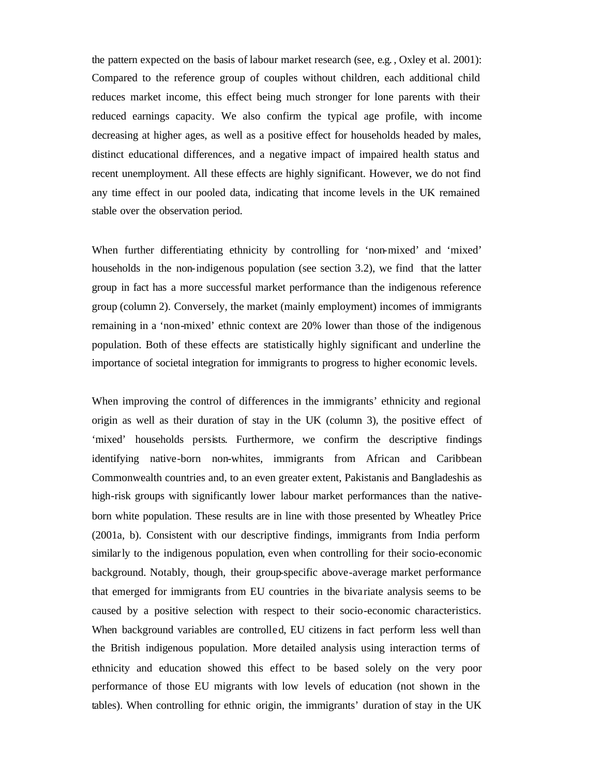the pattern expected on the basis of labour market research (see, e.g. , Oxley et al. 2001): Compared to the reference group of couples without children, each additional child reduces market income, this effect being much stronger for lone parents with their reduced earnings capacity. We also confirm the typical age profile, with income decreasing at higher ages, as well as a positive effect for households headed by males, distinct educational differences, and a negative impact of impaired health status and recent unemployment. All these effects are highly significant. However, we do not find any time effect in our pooled data, indicating that income levels in the UK remained stable over the observation period.

When further differentiating ethnicity by controlling for 'non-mixed' and 'mixed' households in the non-indigenous population (see section 3.2), we find that the latter group in fact has a more successful market performance than the indigenous reference group (column 2). Conversely, the market (mainly employment) incomes of immigrants remaining in a 'non-mixed' ethnic context are 20% lower than those of the indigenous population. Both of these effects are statistically highly significant and underline the importance of societal integration for immigrants to progress to higher economic levels.

When improving the control of differences in the immigrants' ethnicity and regional origin as well as their duration of stay in the UK (column 3), the positive effect of 'mixed' households persists. Furthermore, we confirm the descriptive findings identifying native-born non-whites, immigrants from African and Caribbean Commonwealth countries and, to an even greater extent, Pakistanis and Bangladeshis as high-risk groups with significantly lower labour market performances than the nativeborn white population. These results are in line with those presented by Wheatley Price (2001a, b). Consistent with our descriptive findings, immigrants from India perform similarly to the indigenous population, even when controlling for their socio-economic background. Notably, though, their group-specific above-average market performance that emerged for immigrants from EU countries in the biva riate analysis seems to be caused by a positive selection with respect to their socio-economic characteristics. When background variables are controlled, EU citizens in fact perform less well than the British indigenous population. More detailed analysis using interaction terms of ethnicity and education showed this effect to be based solely on the very poor performance of those EU migrants with low levels of education (not shown in the tables). When controlling for ethnic origin, the immigrants' duration of stay in the UK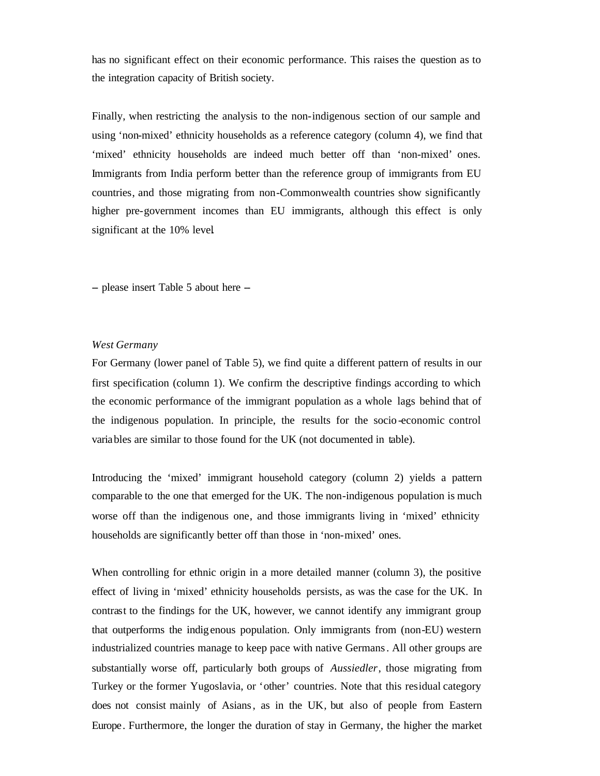has no significant effect on their economic performance. This raises the question as to the integration capacity of British society.

Finally, when restricting the analysis to the non-indigenous section of our sample and using 'non-mixed' ethnicity households as a reference category (column 4), we find that 'mixed' ethnicity households are indeed much better off than 'non-mixed' ones. Immigrants from India perform better than the reference group of immigrants from EU countries, and those migrating from non-Commonwealth countries show significantly higher pre-government incomes than EU immigrants, although this effect is only significant at the 10% level.

-- please insert Table 5 about here --

#### *West Germany*

For Germany (lower panel of Table 5), we find quite a different pattern of results in our first specification (column 1). We confirm the descriptive findings according to which the economic performance of the immigrant population as a whole lags behind that of the indigenous population. In principle, the results for the socio -economic control variables are similar to those found for the UK (not documented in table).

Introducing the 'mixed' immigrant household category (column 2) yields a pattern comparable to the one that emerged for the UK. The non-indigenous population is much worse off than the indigenous one, and those immigrants living in 'mixed' ethnicity households are significantly better off than those in 'non-mixed' ones.

When controlling for ethnic origin in a more detailed manner (column 3), the positive effect of living in 'mixed' ethnicity households persists, as was the case for the UK. In contrast to the findings for the UK, however, we cannot identify any immigrant group that outperforms the indigenous population. Only immigrants from (non-EU) western industrialized countries manage to keep pace with native Germans. All other groups are substantially worse off, particularly both groups of *Aussiedler*, those migrating from Turkey or the former Yugoslavia, or 'other' countries. Note that this residual category does not consist mainly of Asians, as in the UK, but also of people from Eastern Europe. Furthermore, the longer the duration of stay in Germany, the higher the market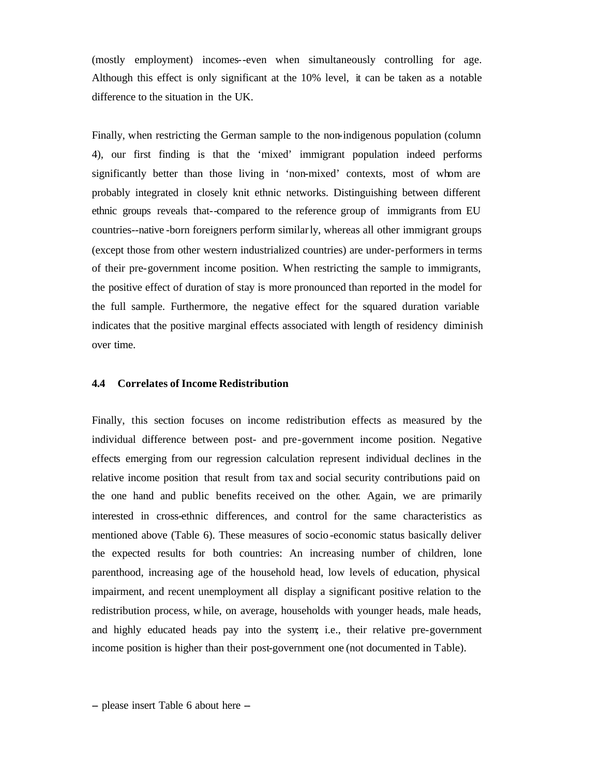(mostly employment) incomes--even when simultaneously controlling for age. Although this effect is only significant at the 10% level, it can be taken as a notable difference to the situation in the UK.

Finally, when restricting the German sample to the non-indigenous population (column 4), our first finding is that the 'mixed' immigrant population indeed performs significantly better than those living in 'non-mixed' contexts, most of whom are probably integrated in closely knit ethnic networks. Distinguishing between different ethnic groups reveals that--compared to the reference group of immigrants from EU countries--native -born foreigners perform similarly, whereas all other immigrant groups (except those from other western industrialized countries) are under-performers in terms of their pre-government income position. When restricting the sample to immigrants, the positive effect of duration of stay is more pronounced than reported in the model for the full sample. Furthermore, the negative effect for the squared duration variable indicates that the positive marginal effects associated with length of residency diminish over time.

#### **4.4 Correlates of Income Redistribution**

Finally, this section focuses on income redistribution effects as measured by the individual difference between post- and pre-government income position. Negative effects emerging from our regression calculation represent individual declines in the relative income position that result from tax and social security contributions paid on the one hand and public benefits received on the other. Again, we are primarily interested in cross-ethnic differences, and control for the same characteristics as mentioned above (Table 6). These measures of socio -economic status basically deliver the expected results for both countries: An increasing number of children, lone parenthood, increasing age of the household head, low levels of education, physical impairment, and recent unemployment all display a significant positive relation to the redistribution process, while, on average, households with younger heads, male heads, and highly educated heads pay into the system; i.e., their relative pre-government income position is higher than their post-government one (not documented in Table).

-- please insert Table 6 about here --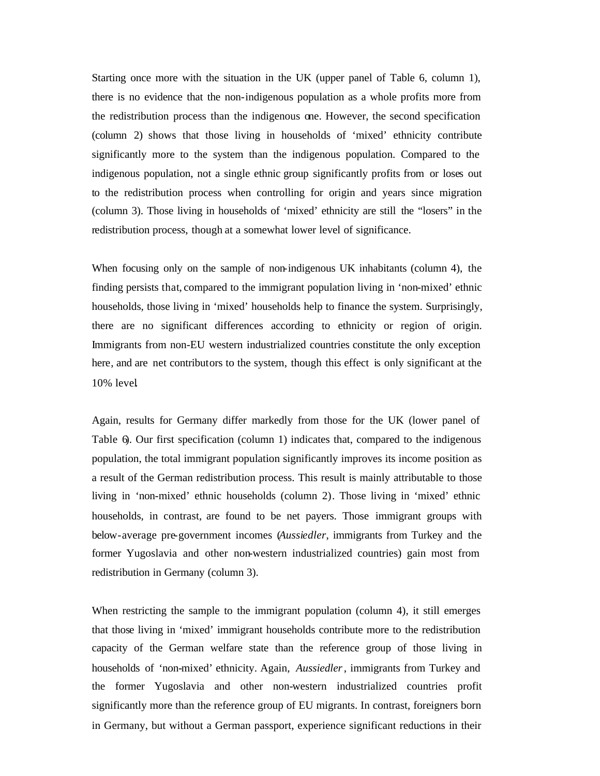Starting once more with the situation in the UK (upper panel of Table 6, column 1), there is no evidence that the non-indigenous population as a whole profits more from the redistribution process than the indigenous one. However, the second specification (column 2) shows that those living in households of 'mixed' ethnicity contribute significantly more to the system than the indigenous population. Compared to the indigenous population, not a single ethnic group significantly profits from or loses out to the redistribution process when controlling for origin and years since migration (column 3). Those living in households of 'mixed' ethnicity are still the "losers" in the redistribution process, though at a somewhat lower level of significance.

When focusing only on the sample of non-indigenous UK inhabitants (column 4), the finding persists that, compared to the immigrant population living in 'non-mixed' ethnic households, those living in 'mixed' households help to finance the system. Surprisingly, there are no significant differences according to ethnicity or region of origin. Immigrants from non-EU western industrialized countries constitute the only exception here, and are net contributors to the system, though this effect is only significant at the 10% level.

Again, results for Germany differ markedly from those for the UK (lower panel of Table 6). Our first specification (column 1) indicates that, compared to the indigenous population, the total immigrant population significantly improves its income position as a result of the German redistribution process. This result is mainly attributable to those living in 'non-mixed' ethnic households (column 2). Those living in 'mixed' ethnic households, in contrast, are found to be net payers. Those immigrant groups with below-average pre-government incomes (*Aussiedler*, immigrants from Turkey and the former Yugoslavia and other non-western industrialized countries) gain most from redistribution in Germany (column 3).

When restricting the sample to the immigrant population (column 4), it still emerges that those living in 'mixed' immigrant households contribute more to the redistribution capacity of the German welfare state than the reference group of those living in households of 'non-mixed' ethnicity. Again, *Aussiedler*, immigrants from Turkey and the former Yugoslavia and other non-western industrialized countries profit significantly more than the reference group of EU migrants. In contrast, foreigners born in Germany, but without a German passport, experience significant reductions in their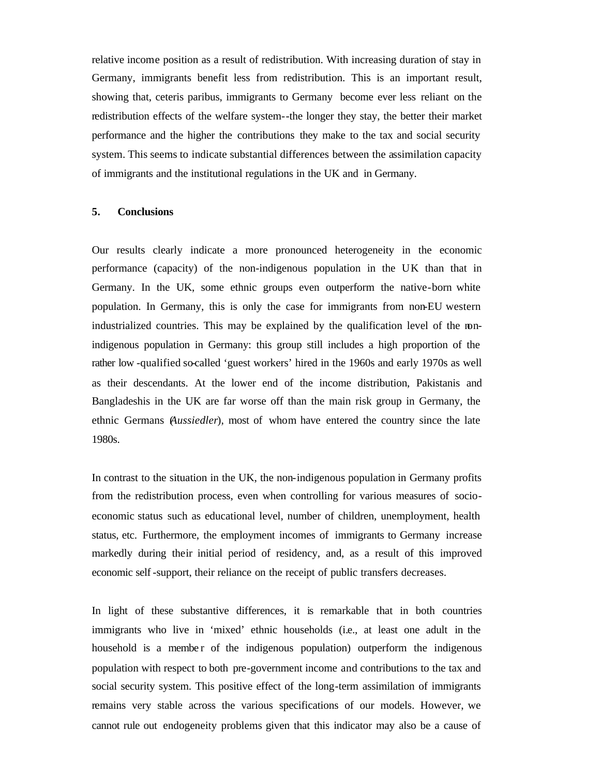relative income position as a result of redistribution. With increasing duration of stay in Germany, immigrants benefit less from redistribution. This is an important result, showing that, ceteris paribus, immigrants to Germany become ever less reliant on the redistribution effects of the welfare system--the longer they stay, the better their market performance and the higher the contributions they make to the tax and social security system. This seems to indicate substantial differences between the assimilation capacity of immigrants and the institutional regulations in the UK and in Germany.

#### **5. Conclusions**

Our results clearly indicate a more pronounced heterogeneity in the economic performance (capacity) of the non-indigenous population in the UK than that in Germany. In the UK, some ethnic groups even outperform the native-born white population. In Germany, this is only the case for immigrants from non-EU western industrialized countries. This may be explained by the qualification level of the nonindigenous population in Germany: this group still includes a high proportion of the rather low -qualified so-called 'guest workers' hired in the 1960s and early 1970s as well as their descendants. At the lower end of the income distribution, Pakistanis and Bangladeshis in the UK are far worse off than the main risk group in Germany, the ethnic Germans (*Aussiedler*), most of whom have entered the country since the late 1980s.

In contrast to the situation in the UK, the non-indigenous population in Germany profits from the redistribution process, even when controlling for various measures of socioeconomic status such as educational level, number of children, unemployment, health status, etc. Furthermore, the employment incomes of immigrants to Germany increase markedly during their initial period of residency, and, as a result of this improved economic self -support, their reliance on the receipt of public transfers decreases.

In light of these substantive differences, it is remarkable that in both countries immigrants who live in 'mixed' ethnic households (i.e., at least one adult in the household is a membe r of the indigenous population) outperform the indigenous population with respect to both pre-government income and contributions to the tax and social security system. This positive effect of the long-term assimilation of immigrants remains very stable across the various specifications of our models. However, we cannot rule out endogeneity problems given that this indicator may also be a cause of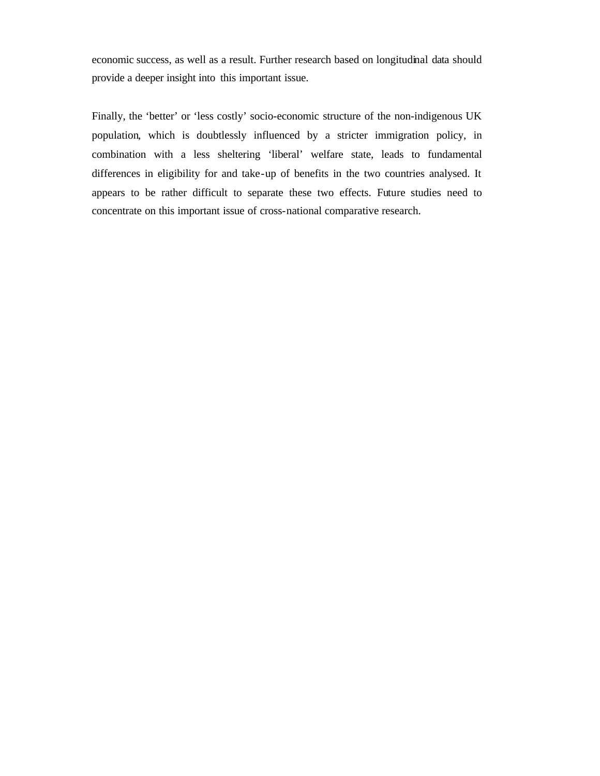economic success, as well as a result. Further research based on longitudinal data should provide a deeper insight into this important issue.

Finally, the 'better' or 'less costly' socio-economic structure of the non-indigenous UK population, which is doubtlessly influenced by a stricter immigration policy, in combination with a less sheltering 'liberal' welfare state, leads to fundamental differences in eligibility for and take-up of benefits in the two countries analysed. It appears to be rather difficult to separate these two effects. Future studies need to concentrate on this important issue of cross-national comparative research.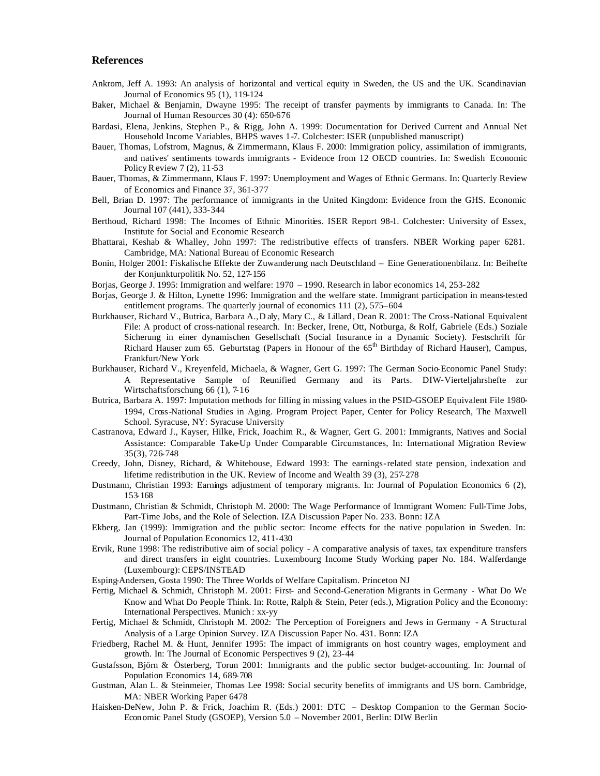#### **References**

- Ankrom, Jeff A. 1993: An analysis of horizontal and vertical equity in Sweden, the US and the UK. Scandinavian Journal of Economics 95 (1), 119-124
- Baker, Michael & Benjamin, Dwayne 1995: The receipt of transfer payments by immigrants to Canada. In: The Journal of Human Resources 30 (4): 650-676
- Bardasi, Elena, Jenkins, Stephen P., & Rigg, John A. 1999: Documentation for Derived Current and Annual Net Household Income Variables, BHPS waves 1-7. Colchester: ISER (unpublished manuscript)
- Bauer, Thomas, Lofstrom, Magnus, & Zimmermann, Klaus F. 2000: Immigration policy, assimilation of immigrants, and natives' sentiments towards immigrants - Evidence from 12 OECD countries. In: Swedish Economic Policy Review 7 (2), 11-53
- Bauer, Thomas, & Zimmermann, Klaus F. 1997: Unemployment and Wages of Ethnic Germans. In: Quarterly Review of Economics and Finance 37, 361-377
- Bell, Brian D. 1997: The performance of immigrants in the United Kingdom: Evidence from the GHS. Economic Journal 107 (441), 333-344
- Berthoud, Richard 1998: The Incomes of Ethnic Minorities. ISER Report 98-1. Colchester: University of Essex, Institute for Social and Economic Research
- Bhattarai, Keshab & Whalley, John 1997: The redistributive effects of transfers. NBER Working paper 6281. Cambridge, MA: National Bureau of Economic Research
- Bonin, Holger 2001: Fiskalische Effekte der Zuwanderung nach Deutschland Eine Generationenbilanz. In: Beihefte der Konjunkturpolitik No. 52, 127-156
- Borjas, George J. 1995: Immigration and welfare: 1970 1990. Research in labor economics 14, 253-282
- Borjas, George J. & Hilton, Lynette 1996: Immigration and the welfare state. Immigrant participation in means-tested entitlement programs. The quarterly journal of economics 111 (2), 575–604
- Burkhauser, Richard V., Butrica, Barbara A.,D aly, Mary C., & Lillard , Dean R. 2001: The Cross-National Equivalent File: A product of cross-national research. In: Becker, Irene, Ott, Notburga, & Rolf, Gabriele (Eds.) Soziale Sicherung in einer dynamischen Gesellschaft (Social Insurance in a Dynamic Society). Festschrift für Richard Hauser zum 65. Geburtstag (Papers in Honour of the 65<sup>th</sup> Birthday of Richard Hauser), Campus, Frankfurt/New York
- Burkhauser, Richard V., Kreyenfeld, Michaela, & Wagner, Gert G. 1997: The German Socio-Economic Panel Study: A Representative Sample of Reunified Germany and its Parts. DIW-Vierteljahrshefte zur Wirtschaftsforschung 66 (1), 7-16
- Butrica, Barbara A. 1997: Imputation methods for filling in missing values in the PSID-GSOEP Equivalent File 1980- 1994, Cross-National Studies in Aging. Program Project Paper, Center for Policy Research, The Maxwell School. Syracuse, NY: Syracuse University
- Castranova, Edward J., Kayser, Hilke, Frick, Joachim R., & Wagner, Gert G. 2001: Immigrants, Natives and Social Assistance: Comparable Take-Up Under Comparable Circumstances, In: International Migration Review 35(3), 726-748
- Creedy, John, Disney, Richard, & Whitehouse, Edward 1993: The earnings-related state pension, indexation and lifetime redistribution in the UK. Review of Income and Wealth 39 (3), 257-278
- Dustmann, Christian 1993: Earnings adjustment of temporary migrants. In: Journal of Population Economics 6 (2), 153-168
- Dustmann, Christian & Schmidt, Christoph M. 2000: The Wage Performance of Immigrant Women: Full-Time Jobs, Part-Time Jobs, and the Role of Selection. IZA Discussion Paper No. 233. Bonn: IZA
- Ekberg, Jan (1999): Immigration and the public sector: Income effects for the native population in Sweden. In: Journal of Population Economics 12, 411-430
- Ervik, Rune 1998: The redistributive aim of social policy A comparative analysis of taxes, tax expenditure transfers and direct transfers in eight countries. Luxembourg Income Study Working paper No. 184. Walferdange (Luxembourg): CEPS/INSTEAD
- Esping-Andersen, Gosta 1990: The Three Worlds of Welfare Capitalism. Princeton NJ
- Fertig, Michael & Schmidt, Christoph M. 2001: First- and Second-Generation Migrants in Germany What Do We Know and What Do People Think. In: Rotte, Ralph & Stein, Peter (eds.), Migration Policy and the Economy: International Perspectives. Munich : xx-yy
- Fertig, Michael & Schmidt, Christoph M. 2002: The Perception of Foreigners and Jews in Germany A Structural Analysis of a Large Opinion Survey. IZA Discussion Paper No. 431. Bonn: IZA
- Friedberg, Rachel M. & Hunt, Jennifer 1995: The impact of immigrants on host country wages, employment and growth. In: The Journal of Economic Perspectives 9 (2), 23-44
- Gustafsson, Björn & Österberg, Torun 2001: Immigrants and the public sector budget-accounting. In: Journal of Population Economics 14, 689-708
- Gustman, Alan L. & Steinmeier, Thomas Lee 1998: Social security benefits of immigrants and US born. Cambridge, MA: NBER Working Paper 6478
- Haisken-DeNew, John P. & Frick, Joachim R. (Eds.) 2001: DTC Desktop Companion to the German Socio-Economic Panel Study (GSOEP), Version 5.0 – November 2001, Berlin: DIW Berlin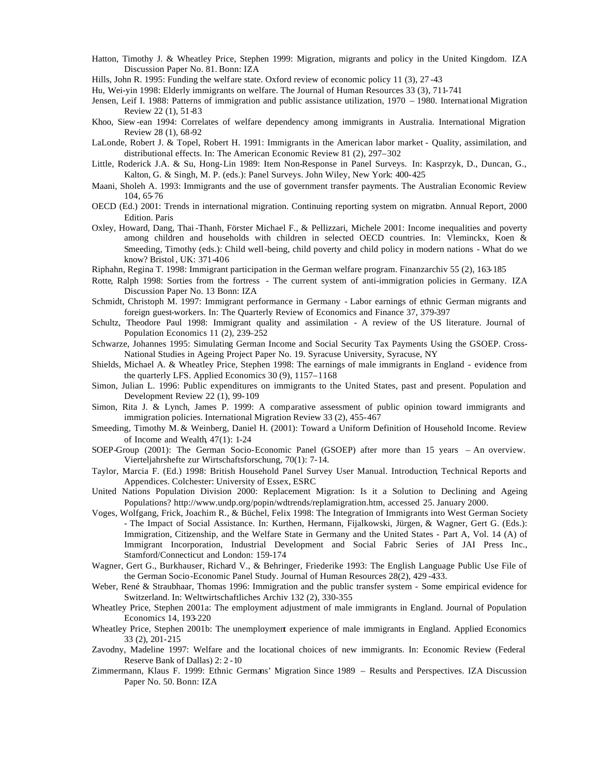- Hatton, Timothy J. & Wheatley Price, Stephen 1999: Migration, migrants and policy in the United Kingdom. IZA Discussion Paper No. 81. Bonn: IZA
- Hills, John R. 1995: Funding the welfare state. Oxford review of economic policy 11 (3), 27 -43
- Hu, Wei-yin 1998: Elderly immigrants on welfare. The Journal of Human Resources 33 (3), 711-741
- Jensen, Leif I. 1988: Patterns of immigration and public assistance utilization, 1970 1980. International Migration Review 22 (1), 51-83
- Khoo, Siew -ean 1994: Correlates of welfare dependency among immigrants in Australia. International Migration Review 28 (1), 68-92
- LaLonde, Robert J. & Topel, Robert H. 1991: Immigrants in the American labor market Quality, assimilation, and distributional effects. In: The American Economic Review 81 (2), 297–302
- Little, Roderick J.A. & Su, Hong-Lin 1989: Item Non-Response in Panel Surveys. In: Kasprzyk, D., Duncan, G., Kalton, G. & Singh, M. P. (eds.): Panel Surveys. John Wiley, New York: 400-425
- Maani, Sholeh A. 1993: Immigrants and the use of government transfer payments. The Australian Economic Review 104, 65-76
- OECD (Ed.) 2001: Trends in international migration. Continuing reporting system on migration. Annual Report, 2000 Edition. Paris
- Oxley, Howard, Dang, Thai-Thanh, Förster Michael F., & Pellizzari, Michele 2001: Income inequalities and poverty among children and households with children in selected OECD countries. In: Vleminckx, Koen & Smeeding, Timothy (eds.): Child well-being, child poverty and child policy in modern nations - What do we know? Bristol , UK: 371-406
- Riphahn, Regina T. 1998: Immigrant participation in the German welfare program. Finanzarchiv 55 (2), 163-185
- Rotte, Ralph 1998: Sorties from the fortress The current system of anti-immigration policies in Germany. IZA Discussion Paper No. 13 Bonn: IZA
- Schmidt, Christoph M. 1997: Immigrant performance in Germany Labor earnings of ethnic German migrants and foreign guest-workers. In: The Quarterly Review of Economics and Finance 37, 379-397
- Schultz, Theodore Paul 1998: Immigrant quality and assimilation A review of the US literature. Journal of Population Economics 11 (2), 239–252
- Schwarze, Johannes 1995: Simulating German Income and Social Security Tax Payments Using the GSOEP. Cross-National Studies in Ageing Project Paper No. 19. Syracuse University, Syracuse, NY
- Shields, Michael A. & Wheatley Price, Stephen 1998: The earnings of male immigrants in England evidence from the quarterly LFS. Applied Economics 30 (9), 1157–1168
- Simon, Julian L. 1996: Public expenditures on immigrants to the United States, past and present. Population and Development Review 22 (1), 99-109
- Simon, Rita J. & Lynch, James P. 1999: A comparative assessment of public opinion toward immigrants and immigration policies. International Migration Review 33 (2), 455-467
- Smeeding, Timothy M. & Weinberg, Daniel H. (2001): Toward a Uniform Definition of Household Income. Review of Income and Wealth, 47(1): 1-24
- SOEP-Group (2001): The German Socio-Economic Panel (GSOEP) after more than 15 years An overview. Vierteljahrshefte zur Wirtschaftsforschung, 70(1): 7-14.
- Taylor, Marcia F. (Ed.) 1998: British Household Panel Survey User Manual. Introduction, Technical Reports and Appendices. Colchester: University of Essex, ESRC
- United Nations Population Division 2000: Replacement Migration: Is it a Solution to Declining and Ageing Populations? http://www.undp.org/popin/wdtrends/replamigration.htm, accessed 25. January 2000.
- Voges, Wolfgang, Frick, Joachim R., & Büchel, Felix 1998: The Integration of Immigrants into West German Society - The Impact of Social Assistance. In: Kurthen, Hermann, Fijalkowski, Jürgen, & Wagner, Gert G. (Eds.): Immigration, Citizenship, and the Welfare State in Germany and the United States - Part A, Vol. 14 (A) of Immigrant Incorporation, Industrial Development and Social Fabric Series of JAI Press Inc., Stamford/Connecticut and London: 159-174
- Wagner, Gert G., Burkhauser, Richard V., & Behringer, Friederike 1993: The English Language Public Use File of the German Socio-Economic Panel Study. Journal of Human Resources 28(2), 429 -433.
- Weber, René & Straubhaar, Thomas 1996: Immigration and the public transfer system Some empirical evidence for Switzerland. In: Weltwirtschaftliches Archiv 132 (2), 330-355
- Wheatley Price, Stephen 2001a: The employment adjustment of male immigrants in England. Journal of Population Economics 14, 193-220
- Wheatley Price, Stephen 2001b: The unemployment experience of male immigrants in England. Applied Economics 33 (2), 201-215
- Zavodny, Madeline 1997: Welfare and the locational choices of new immigrants. In: Economic Review (Federal Reserve Bank of Dallas) 2: 2 -10
- Zimmermann, Klaus F. 1999: Ethnic Germans' Migration Since 1989 Results and Perspectives. IZA Discussion Paper No. 50. Bonn: IZA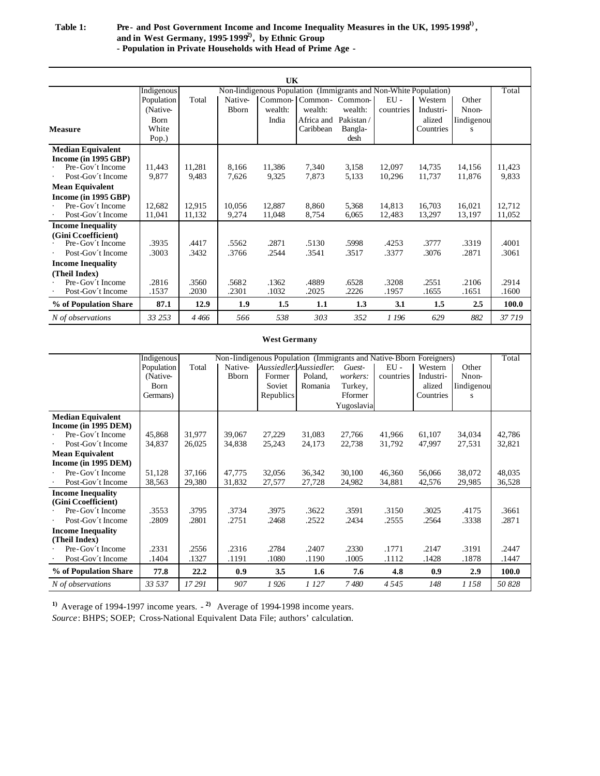**Table 1: Pre- and Post Government Income and Income Inequality Measures in the UK, 1995-19981) , and in West Germany, 1995-19992), by Ethnic Group - Population in Private Households with Head of Prime Age -**

|                          |            |        |              | UK                                                              |                         |           |           |           |            |        |
|--------------------------|------------|--------|--------------|-----------------------------------------------------------------|-------------------------|-----------|-----------|-----------|------------|--------|
|                          | Indigenous |        |              | Non-Indigenous Population (Immigrants and Non-White Population) |                         |           |           |           |            | Total  |
|                          | Population | Total  | Native-      |                                                                 | Common- Common- Common- |           | $EU -$    | Western   | Other      |        |
|                          | (Native-   |        | <b>Bborn</b> | wealth:                                                         | wealth:                 | wealth:   | countries | Industri- | Nnon-      |        |
|                          | Born       |        |              | India                                                           | Africa and              | Pakistan/ |           | alized    | Iindigenou |        |
| <b>Measure</b>           | White      |        |              |                                                                 | Caribbean               | Bangla-   |           | Countries | S          |        |
|                          | Pop.)      |        |              |                                                                 |                         | desh      |           |           |            |        |
| <b>Median Equivalent</b> |            |        |              |                                                                 |                         |           |           |           |            |        |
| Income (in 1995 GBP)     |            |        |              |                                                                 |                         |           |           |           |            |        |
| Pre-Gov't Income         | 11,443     | 11,281 | 8,166        | 11,386                                                          | 7,340                   | 3,158     | 12,097    | 14,735    | 14,156     | 11,423 |
| Post-Gov't Income        | 9,877      | 9,483  | 7,626        | 9,325                                                           | 7,873                   | 5,133     | 10,296    | 11,737    | 11,876     | 9,833  |
| <b>Mean Equivalent</b>   |            |        |              |                                                                 |                         |           |           |           |            |        |
| Income (in 1995 GBP)     |            |        |              |                                                                 |                         |           |           |           |            |        |
| Pre-Gov't Income         | 12,682     | 12,915 | 10,056       | 12,887                                                          | 8,860                   | 5,368     | 14,813    | 16,703    | 16,021     | 12,712 |
| Post-Gov't Income        | 11,041     | 11,132 | 9,274        | 11,048                                                          | 8,754                   | 6,065     | 12,483    | 13,297    | 13,197     | 11,052 |
| <b>Income Inequality</b> |            |        |              |                                                                 |                         |           |           |           |            |        |
| (Gini Ccoefficient)      |            |        |              |                                                                 |                         |           |           |           |            |        |
| Pre-Gov't Income         | .3935      | .4417  | .5562        | .2871                                                           | .5130                   | .5998     | .4253     | .3777     | .3319      | .4001  |
| Post-Gov't Income        | .3003      | .3432  | .3766        | .2544                                                           | .3541                   | .3517     | .3377     | .3076     | .2871      | .3061  |
| <b>Income Inequality</b> |            |        |              |                                                                 |                         |           |           |           |            |        |
| (Theil Index)            |            |        |              |                                                                 |                         |           |           |           |            |        |
| Pre-Gov't Income         | .2816      | .3560  | .5682        | .1362                                                           | .4889                   | .6528     | .3208     | .2551     | .2106      | .2914  |
| Post-Gov't Income        | .1537      | .2030  | .2301        | .1032                                                           | .2025                   | .2226     | .1957     | .1655     | .1651      | .1600  |
| % of Population Share    | 87.1       | 12.9   | 1.9          | 1.5                                                             | 1.1                     | 1.3       | 3.1       | 1.5       | 2.5        | 100.0  |
| N of observations        | 33 253     | 4466   | 566          | 538                                                             | 303                     | 352       | 1 196     | 629       | 882        | 37719  |

#### **West Germany**

|                                                  | Indigenous   |        |              |                        |         | Non-Indigenous Population (Immigrants and Native-Bborn Foreigners) |           |           |            | Total  |
|--------------------------------------------------|--------------|--------|--------------|------------------------|---------|--------------------------------------------------------------------|-----------|-----------|------------|--------|
|                                                  | Population   | Total  | Native-      | Aussiedler Aussiedler. |         | Guest-                                                             | $EU -$    | Western   | Other      |        |
|                                                  | (Native-     |        | <b>Bborn</b> | Former                 | Poland. | workers:                                                           | countries | Industri- | Nnon-      |        |
|                                                  | <b>B</b> orn |        |              | Soviet                 | Romania | Turkey,                                                            |           | alized    | Iindigenou |        |
|                                                  | Germans)     |        |              | Republics              |         | Fformer                                                            |           | Countries | s          |        |
|                                                  |              |        |              |                        |         | Yugoslavia                                                         |           |           |            |        |
| <b>Median Equivalent</b><br>Income (in 1995 DEM) |              |        |              |                        |         |                                                                    |           |           |            |        |
| Pre-Gov't Income                                 | 45,868       | 31.977 | 39,067       | 27,229                 | 31,083  | 27,766                                                             | 41,966    | 61,107    | 34,034     | 42,786 |
| Post-Gov't Income                                | 34,837       | 26,025 | 34,838       | 25,243                 | 24,173  | 22,738                                                             | 31,792    | 47,997    | 27,531     | 32,821 |
| <b>Mean Equivalent</b>                           |              |        |              |                        |         |                                                                    |           |           |            |        |
| Income (in 1995 DEM)                             |              |        |              |                        |         |                                                                    |           |           |            |        |
| Pre-Gov't Income                                 | 51,128       | 37,166 | 47,775       | 32,056                 | 36,342  | 30,100                                                             | 46,360    | 56,066    | 38,072     | 48,035 |
| Post-Gov't Income                                | 38,563       | 29,380 | 31,832       | 27,577                 | 27,728  | 24,982                                                             | 34,881    | 42,576    | 29,985     | 36,528 |
| <b>Income Inequality</b><br>(Gini Ccoefficient)  |              |        |              |                        |         |                                                                    |           |           |            |        |
| Pre-Gov't Income                                 | .3553        | .3795  | .3734        | .3975                  | .3622   | .3591                                                              | .3150     | .3025     | .4175      | .3661  |
| Post-Gov't Income                                | .2809        | .2801  | .2751        | .2468                  | .2522   | .2434                                                              | .2555     | .2564     | .3338      | .2871  |
| <b>Income Inequality</b><br>(Theil Index)        |              |        |              |                        |         |                                                                    |           |           |            |        |
| Pre-Gov't Income                                 | .2331        | .2556  | .2316        | .2784                  | .2407   | .2330                                                              | .1771     | .2147     | .3191      | .2447  |
| Post-Gov't Income                                | .1404        | .1327  | .1191        | .1080                  | .1190   | .1005                                                              | .1112     | .1428     | .1878      | .1447  |
| % of Population Share                            | 77.8         | 22.2   | 0.9          | 3.5                    | 1.6     | 7.6                                                                | 4.8       | 0.9       | 2.9        | 100.0  |
| N of observations                                | 33 537       | 17 291 | 907          | 1926                   | 1 127   | 7480                                                               | 4545      | 148       | 1158       | 50 828 |

**1)** Average of 1994-1997 income years. - **2)** Average of 1994-1998 income years. *Source*: BHPS; SOEP; Cross-National Equivalent Data File; authors' calculation.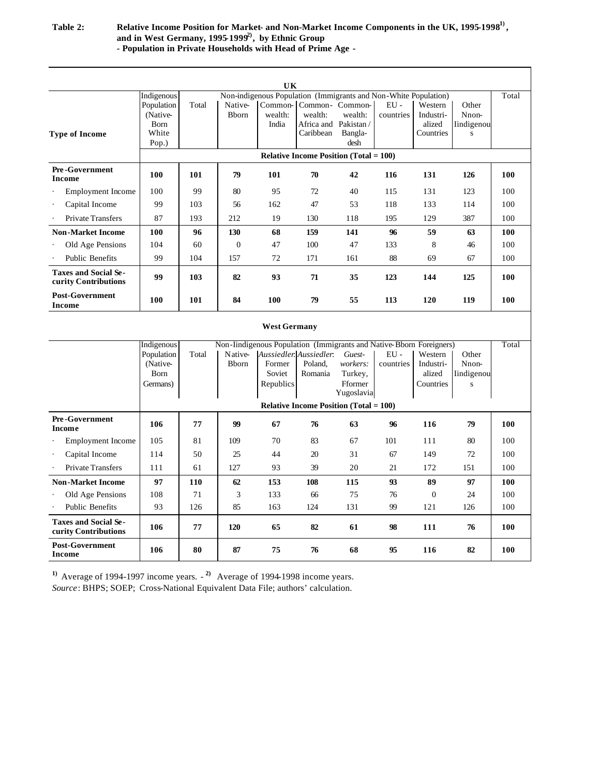**Table 2: Relative Income Position for Market- and Non-Market Income Components in the UK, 1995-19981) , and in West Germany, 1995-19992), by Ethnic Group - Population in Private Households with Head of Prime Age -**

|                                                     | Indigenous       |       |              | <b>UK</b><br>Non-indigenous Population (Immigrants and Non-White Population) |                         |                                               |           |                     |                 | Total      |
|-----------------------------------------------------|------------------|-------|--------------|------------------------------------------------------------------------------|-------------------------|-----------------------------------------------|-----------|---------------------|-----------------|------------|
|                                                     | Population       | Total | Native-      |                                                                              | Common- Common- Common- |                                               | $EU -$    | Western             | Other           |            |
|                                                     | (Native-<br>Born |       | <b>Bborn</b> | wealth:<br>India                                                             | wealth:<br>Africa and   | wealth:<br>Pakistan/                          | countries | Industri-<br>alized | Nnon-           |            |
| <b>Type of Income</b>                               | White            |       |              |                                                                              | Caribbean               | Bangla-                                       |           | Countries           | Iindigenou<br>s |            |
|                                                     | Pop.)            |       |              |                                                                              |                         | desh                                          |           |                     |                 |            |
|                                                     |                  |       |              |                                                                              |                         | <b>Relative Income Position (Total = 100)</b> |           |                     |                 |            |
| <b>Pre-Government</b><br>Income                     | 100              | 101   | 79           | 101                                                                          | 70                      | 42                                            | 116       | 131                 | 126             | 100        |
| <b>Employment Income</b>                            | 100              | 99    | 80           | 95                                                                           | 72                      | 40                                            | 115       | 131                 | 123             | 100        |
| Capital Income                                      | 99               | 103   | 56           | 162                                                                          | 47                      | 53                                            | 118       | 133                 | 114             | 100        |
| Private Transfers                                   | 87               | 193   | 212          | 19                                                                           | 130                     | 118                                           | 195       | 129                 | 387             | 100        |
| <b>Non-Market Income</b>                            | 100              | 96    | 130          | 68                                                                           | 159                     | 141                                           | 96        | 59                  | 63              | 100        |
| Old Age Pensions                                    | 104              | 60    | $\Omega$     | 47                                                                           | 100                     | 47                                            | 133       | 8                   | 46              | 100        |
| <b>Public Benefits</b>                              | 99               | 104   | 157          | 72                                                                           | 171                     | 161                                           | 88        | 69                  | 67              | 100        |
| <b>Taxes and Social Se-</b><br>curity Contributions | 99               | 103   | 82           | 93                                                                           | 71                      | 35                                            | 123       | 144                 | 125             | <b>100</b> |
| <b>Post-Government</b><br>Income                    | 100              | 101   | 84           | <b>100</b>                                                                   | 79                      | 55                                            | 113       | 120                 | 119             | <b>100</b> |

#### **West Germany**

|                                                     | <b>Indigenous</b> |       |              | Non-Indigenous Population (Immigrants and Native-Bborn Foreigners) |                                               |            |           |           |            | Total |
|-----------------------------------------------------|-------------------|-------|--------------|--------------------------------------------------------------------|-----------------------------------------------|------------|-----------|-----------|------------|-------|
|                                                     | Population        | Total | Native-      | Aussiedler. Aussiedler.                                            |                                               | Guest-     | $EU -$    | Western   | Other      |       |
|                                                     | (Native-          |       | <b>Bborn</b> | Former                                                             | Poland.                                       | workers:   | countries | Industri- | Nnon-      |       |
|                                                     | Born              |       |              | Soviet                                                             | Romania                                       | Turkey,    |           | alized    | Iindigenou |       |
|                                                     | Germans)          |       |              | Republics                                                          |                                               | Fformer    |           | Countries | s          |       |
|                                                     |                   |       |              |                                                                    |                                               | Yugoslavia |           |           |            |       |
|                                                     |                   |       |              |                                                                    | <b>Relative Income Position (Total = 100)</b> |            |           |           |            |       |
| <b>Pre-Government</b><br>Income                     | 106               | 77    | 99           | 67                                                                 | 76                                            | 63         | 96        | 116       | 79         | 100   |
| <b>Employment Income</b>                            | 105               | 81    | 109          | 70                                                                 | 83                                            | 67         | 101       | 111       | 80         | 100   |
| Capital Income                                      | 114               | 50    | 25           | 44                                                                 | 20                                            | 31         | 67        | 149       | 72         | 100   |
| <b>Private Transfers</b>                            | 111               | 61    | 127          | 93                                                                 | 39                                            | 20         | 21        | 172       | 151        | 100   |
| <b>Non-Market Income</b>                            | 97                | 110   | 62           | 153                                                                | 108                                           | 115        | 93        | 89        | 97         | 100   |
| Old Age Pensions                                    | 108               | 71    | 3            | 133                                                                | 66                                            | 75         | 76        | $\Omega$  | 24         | 100   |
| <b>Public Benefits</b>                              | 93                | 126   | 85           | 163                                                                | 124                                           | 131        | 99        | 121       | 126        | 100   |
| <b>Taxes and Social Se-</b><br>curity Contributions | 106               | 77    | 120          | 65                                                                 | 82                                            | 61         | 98        | 111       | 76         | 100   |
| <b>Post-Government</b><br>Income                    | 106               | 80    | 87           | 75                                                                 | 76                                            | 68         | 95        | 116       | 82         | 100   |

**1)** Average of 1994-1997 income years. - **2)** Average of 1994-1998 income years. *Source*: BHPS; SOEP; Cross-National Equivalent Data File; authors' calculation.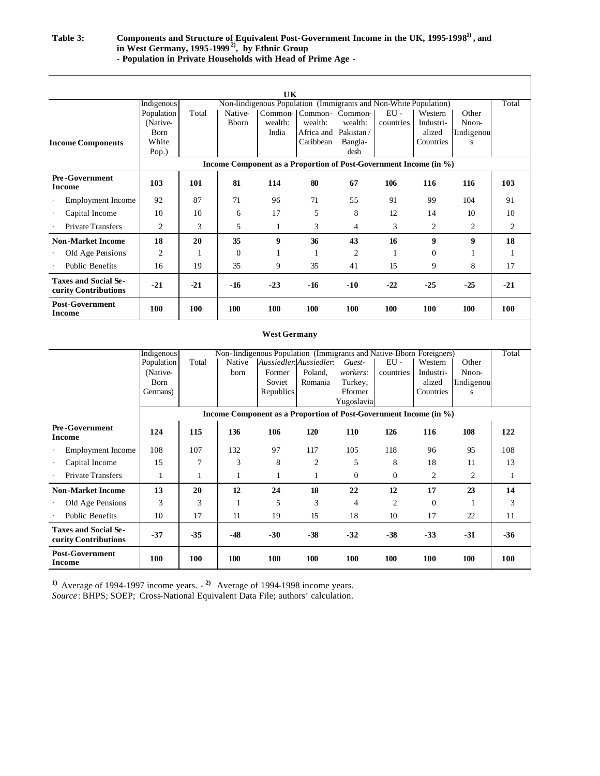**Table 3: Components and Structure of Equivalent Post-Government Income in the UK, 1995-19981) , and in West Germany, 1995-1999 2), by Ethnic Group - Population in Private Households with Head of Prime Age -**

|                                                     |                |                                                   |               | <b>UK</b>                                                         |            |           |           |           |            |       |
|-----------------------------------------------------|----------------|---------------------------------------------------|---------------|-------------------------------------------------------------------|------------|-----------|-----------|-----------|------------|-------|
|                                                     | Indigenous     |                                                   |               | Non-Indigenous Population (Immigrants and Non-White Population)   |            |           |           |           |            | Total |
|                                                     | Population     | Total                                             | Native-       | Common-                                                           | Common-    | Common-   | $EU -$    | Western   | Other      |       |
|                                                     | (Native-       |                                                   | <b>B</b> horn | wealth:                                                           | wealth:    | wealth:   | countries | Industri- | Nnon-      |       |
|                                                     | <b>B</b> orn   |                                                   |               | India                                                             | Africa and | Pakistan/ |           | alized    | Iindigenou |       |
| <b>Income Components</b>                            | White          |                                                   |               |                                                                   | Caribbean  | Bangla-   |           | Countries | S          |       |
|                                                     | Pop.)          |                                                   |               |                                                                   |            | desh      |           |           |            |       |
|                                                     |                |                                                   |               | Income Component as a Proportion of Post-Government Income (in %) |            |           |           |           |            |       |
| <b>Pre-Government</b><br>Income                     | 103            | 81<br>101<br>114<br>80<br>67<br>106<br>116<br>116 |               |                                                                   |            |           |           |           |            | 103   |
| <b>Employment Income</b>                            | 92             | 87                                                | 71            | 96                                                                | 71         | 55        | 91        | 99        | 104        | 91    |
| Capital Income<br>$\bullet$                         | 10             | 10                                                | 6             | 17                                                                | 5          | 8         | 12        | 14        | 10         | 10    |
| Private Transfers                                   | $\overline{2}$ | 3                                                 | 5             | 1                                                                 | 3          | 4         | 3         | 2         | 2          | 2     |
| <b>Non-Market Income</b>                            | 18             | 20                                                | 35            | 9                                                                 | 36         | 43        | 16        | 9         | 9          | 18    |
| Old Age Pensions                                    | $\overline{2}$ | 1                                                 | $\Omega$      |                                                                   |            | 2         |           | $\Omega$  |            |       |
| <b>Public Benefits</b>                              | 16             | 19                                                | 35            | 9                                                                 | 35         | 41        | 15        | 9         | 8          | 17    |
| <b>Taxes and Social Se-</b><br>curity Contributions | $-21$          | $-21$                                             | -16           | $-23$                                                             | $-16$      | $-10$     | $-22$     | $-25$     | $-25$      | $-21$ |
| <b>Post-Government</b><br>Income                    | 100            | 100                                               | 100           | 100                                                               | 100        | 100       | 100       | 100       | 100        | 100   |

#### **West Germany**

|           |                                                     | Indigenous   |                                                                   |        | Non-Indigenous Population (Immigrants and Native-Bborn Foreigners) |                |            |           |           |            | Total |  |
|-----------|-----------------------------------------------------|--------------|-------------------------------------------------------------------|--------|--------------------------------------------------------------------|----------------|------------|-----------|-----------|------------|-------|--|
|           |                                                     | Population   | Total                                                             | Native | Aussiedler. Aussiedler.                                            |                | Guest-     | $EU -$    | Western   | Other      |       |  |
|           |                                                     | (Native-     |                                                                   | born   | Former                                                             | Poland,        | workers:   | countries | Industri- | Nnon-      |       |  |
|           |                                                     | <b>B</b> orn |                                                                   |        | Soviet                                                             | Romania        | Turkey,    |           | alized    | Iindigenou |       |  |
|           |                                                     | Germans)     |                                                                   |        | Republics                                                          |                | Fformer    |           | Countries | s          |       |  |
|           |                                                     |              |                                                                   |        |                                                                    |                | Yugoslavia |           |           |            |       |  |
|           |                                                     |              | Income Component as a Proportion of Post-Government Income (in %) |        |                                                                    |                |            |           |           |            |       |  |
|           | <b>Pre-Government</b><br>Income                     | 124          | 115                                                               | 136    | 106                                                                | 120            | 110        | 126       | 116       | 108        | 122   |  |
|           | <b>Employment Income</b>                            | 108          | 107                                                               | 132    | 97                                                                 | 117            | 105        | 118       | 96        | 95         | 108   |  |
| $\bullet$ | Capital Income                                      | 15           | 7                                                                 | 3      | 8                                                                  | $\overline{2}$ | 5          | 8         | 18        | 11         | 13    |  |
|           | <b>Private Transfers</b>                            | 1            |                                                                   |        |                                                                    | 1              | $\theta$   | $\theta$  | 2         | 2          | 1     |  |
|           | <b>Non-Market Income</b>                            | 13           | 20                                                                | 12     | 24                                                                 | 18             | 22         | 12        | 17        | 23         | 14    |  |
|           | Old Age Pensions                                    | 3            | 3                                                                 |        | 5                                                                  | 3              | 4          | 2         | $\Omega$  |            | 3     |  |
|           | <b>Public Benefits</b>                              | 10           | 17                                                                | 11     | 19                                                                 | 15             | 18         | 10        | 17        | 22         | 11    |  |
|           | <b>Taxes and Social Se-</b><br>curity Contributions | $-37$        | $-35$                                                             | $-48$  | $-30$                                                              | -38            | $-32$      | $-38$     | $-33$     | $-31$      | $-36$ |  |
|           | <b>Post-Government</b><br>Income                    | 100          | 100                                                               | 100    | 100                                                                | 100            | 100        | 100       | 100       | 100        | 100   |  |

**1)** Average of 1994-1997 income years. - **2)** Average of 1994-1998 income years. *Source*: BHPS; SOEP; Cross-National Equivalent Data File; authors' calculation.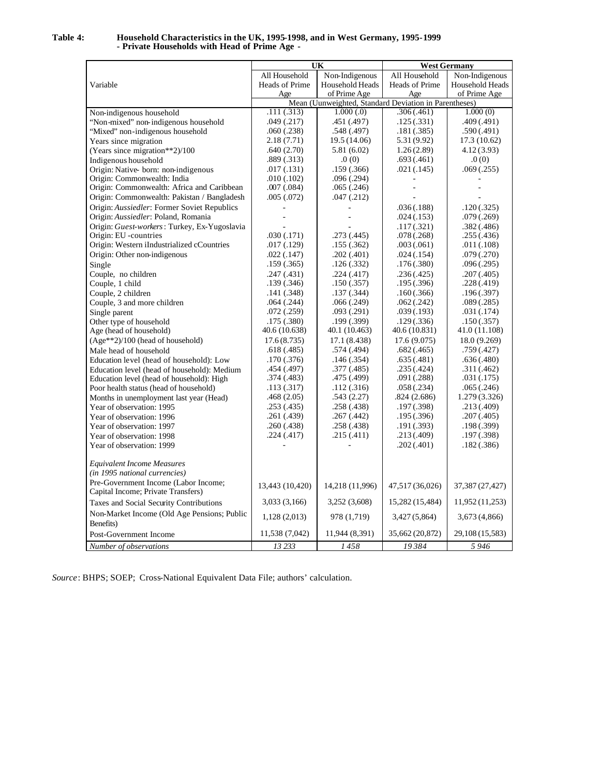#### **Table 4: Household Characteristics in the UK, 1995-1998, and in West Germany, 1995-1999 - Private Households with Head of Prime Age -**

|                                                                            |                 | UK                                                    |                 | <b>West Germany</b> |
|----------------------------------------------------------------------------|-----------------|-------------------------------------------------------|-----------------|---------------------|
|                                                                            | All Household   | Non-Indigenous                                        | All Household   | Non-Indigenous      |
| Variable                                                                   | Heads of Prime  | Household Heads                                       | Heads of Prime  | Household Heads     |
|                                                                            | Age             | of Prime Age                                          | Age             | of Prime Age        |
|                                                                            |                 | Mean (Uunweighted, Standard Deviation in Parentheses) |                 |                     |
| Non-indigenous household                                                   | .111(.313)      | 1.000(.0)                                             | .306(.461)      | 1.000(0)            |
| "Non-mixed" non-indigenous household                                       | .049(.217)      | .451 (.497)                                           | .125(.331)      | .409(.491)          |
| "Mixed" non-indigenous household                                           | .060(.238)      | .548 (.497)                                           | .181(.385)      | .590(.491)          |
| Years since migration                                                      | 2.18(7.71)      | 19.5 (14.06)                                          | 5.31 (9.92)     | 17.3 (10.62)        |
| (Years since migration**2)/100                                             | .640(2.70)      | 5.81 (6.02)                                           | 1.26(2.89)      | 4.12(3.93)          |
| Indigenous household                                                       | .889(.313)      | .0(0)                                                 | .693(.461)      | .0(0)               |
| Origin: Native-born: non-indigenous                                        | .017(.131)      | .159(.366)                                            | .021(.145)      | .069(.255)          |
| Origin: Commonwealth: India                                                | .010(.102)      | .096(.294)                                            |                 |                     |
| Origin: Commonwealth: Africa and Caribbean                                 | .007(.084)      | .065(.246)                                            |                 |                     |
| Origin: Commonwealth: Pakistan / Bangladesh                                | .005(.072)      | .047(.212)                                            |                 |                     |
| Origin: Aussiedler: Former Soviet Republics                                |                 |                                                       | .036(.188)      | .120(.325)          |
| Origin: Aussiedler: Poland, Romania                                        |                 |                                                       | .024(.153)      | .079(.269)          |
| Origin: Guest-workers: Turkey, Ex-Yugoslavia                               |                 |                                                       | .117(.321)      | .382(.486)          |
| Origin: EU -countries                                                      | .030(.171)      | .273 (.445)                                           | .078(.268)      | .255(.436)          |
| Origin: Western iIndustrialized cCountries                                 | .017(.129)      | .155(.362)                                            | .003(.061)      | .011(.108)          |
| Origin: Other non-indigenous                                               | .022(.147)      | .202(.401)                                            | .024(.154)      | .079(.270)          |
| Single                                                                     | .159(.365)      | .126(.332)                                            | .176(.380)      | .096(.295)          |
| Couple, no children                                                        | .247(.431)      | .224(.417)                                            | .236(.425)      | .207(.405)          |
| Couple, 1 child                                                            | .139(.346)      | .150(.357)                                            | .195(.396)      | .228(.419)          |
| Couple, 2 children                                                         | .141(.348)      | .137(.344)                                            | .160(.366)      | .196(.397)          |
| Couple, 3 and more children                                                | .064(.244)      | .066(.249)                                            | .062(.242)      | .089(.285)          |
| Single parent                                                              | .072(.259)      | .093(.291)                                            | .039(.193)      | .031(.174)          |
| Other type of household                                                    | .175(.380)      | .199 (.399)                                           | .129(.336)      | .150(.357)          |
| Age (head of household)                                                    | 40.6 (10.638)   | 40.1 (10.463)                                         | 40.6 (10.831)   | 41.0 (11.108)       |
| (Age**2)/100 (head of household)                                           | 17.6(8.735)     | 17.1 (8.438)                                          | 17.6 (9.075)    | 18.0 (9.269)        |
| Male head of household                                                     | .618(.485)      | .574(.494)                                            | .682(.465)      | .759(.427)          |
| Education level (head of household): Low                                   | .170 (.376)     | .146(.354)                                            | .635(.481)      | .636(.480)          |
| Education level (head of household): Medium                                | .454 (.497)     | .377(.485)                                            | .235(.424)      | .311(.462)          |
| Education level (head of household): High                                  | .374 (.483)     | .475 (.499)                                           | .091(.288)      | .031(.175)          |
| Poor health status (head of household)                                     | .113 (.317)     | .112(.316)                                            | .058(.234)      | .065(.246)          |
| Months in unemployment last year (Head)                                    | .468(2.05)      | .543(2.27)                                            | .824(2.686)     | 1.279 (3.326)       |
| Year of observation: 1995                                                  | .253(.435)      | .258 (.438)                                           | .197(.398)      | .213(.409)          |
| Year of observation: 1996                                                  | .261 (.439)     | .267(.442)                                            | .195(.396)      | .207(.405)          |
| Year of observation: 1997                                                  | .260(.438)      | .258(.438)                                            | .191(.393)      | .198(.399)          |
| Year of observation: 1998                                                  | .224 (.417)     | .215(.411)                                            | .213(.409)      | .197(.398)          |
| Year of observation: 1999                                                  |                 |                                                       | .202(.401)      | .182(.386)          |
| <b>Equivalent Income Measures</b>                                          |                 |                                                       |                 |                     |
| (in 1995 national currencies)                                              |                 |                                                       |                 |                     |
| Pre-Government Income (Labor Income;<br>Capital Income; Private Transfers) | 13,443 (10,420) | 14,218 (11,996)                                       | 47,517 (36,026) | 37, 387 (27, 427)   |
| Taxes and Social Security Contributions                                    | 3,033 (3,166)   | 3,252 (3,608)                                         | 15,282 (15,484) | 11,952 (11,253)     |
| Non-Market Income (Old Age Pensions; Public<br>Benefits)                   | 1,128(2,013)    | 978 (1,719)                                           | 3,427 (5,864)   | 3,673 (4,866)       |
| Post-Government Income                                                     | 11,538 (7,042)  | 11,944 (8,391)                                        | 35,662 (20,872) | 29,108 (15,583)     |
| Number of observations                                                     | 13 233          | 1458                                                  | 19384           | 5 9 4 6             |

*Source*: BHPS; SOEP; Cross-National Equivalent Data File; authors' calculation.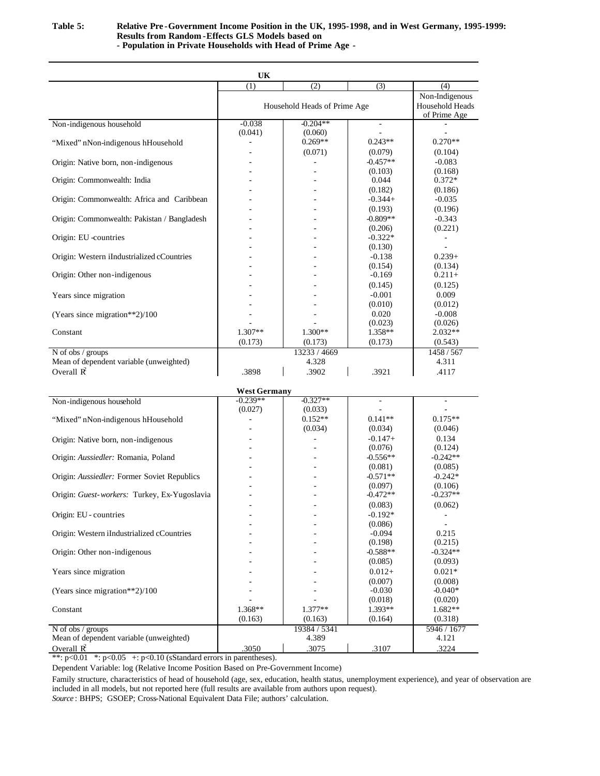#### **Table 5: Relative Pre -Government Income Position in the UK, 1995-1998, and in West Germany, 1995-1999: Results from Random -Effects GLS Models based on - Population in Private Households with Head of Prime Age -**

|                                             | <b>UK</b>                    |                                                   |            |           |
|---------------------------------------------|------------------------------|---------------------------------------------------|------------|-----------|
|                                             | (1)                          | (2)                                               | (3)        | (4)       |
|                                             | Household Heads of Prime Age | Non-Indigenous<br>Household Heads<br>of Prime Age |            |           |
| Non-indigenous household                    | $-0.038$                     | $-0.204**$                                        |            |           |
|                                             | (0.041)                      | (0.060)                                           |            |           |
| "Mixed" nNon-indigenous hHousehold          |                              | $0.269**$                                         | $0.243**$  | $0.270**$ |
|                                             |                              | (0.071)                                           | (0.079)    | (0.104)   |
| Origin: Native born, non-indigenous         |                              |                                                   | $-0.457**$ | $-0.083$  |
|                                             |                              |                                                   | (0.103)    | (0.168)   |
| Origin: Commonwealth: India                 |                              |                                                   | 0.044      | $0.372*$  |
|                                             |                              |                                                   | (0.182)    | (0.186)   |
| Origin: Commonwealth: Africa and Caribbean  |                              |                                                   | $-0.344+$  | $-0.035$  |
|                                             |                              |                                                   | (0.193)    | (0.196)   |
| Origin: Commonwealth: Pakistan / Bangladesh |                              |                                                   | $-0.809**$ | $-0.343$  |
|                                             |                              |                                                   | (0.206)    | (0.221)   |
| Origin: EU -countries                       |                              |                                                   | $-0.322*$  |           |
|                                             |                              |                                                   | (0.130)    |           |
| Origin: Western iIndustrialized cCountries  |                              |                                                   | $-0.138$   | $0.239+$  |
|                                             |                              |                                                   | (0.154)    | (0.134)   |
| Origin: Other non-indigenous                |                              |                                                   | $-0.169$   | $0.211 +$ |
|                                             |                              |                                                   | (0.145)    | (0.125)   |
| Years since migration                       |                              |                                                   | $-0.001$   | 0.009     |
|                                             |                              |                                                   | (0.010)    | (0.012)   |
| (Years since migration**2)/100              |                              |                                                   | 0.020      | $-0.008$  |
|                                             |                              |                                                   | (0.023)    | (0.026)   |
| Constant                                    | $1.307**$                    | $1.300**$                                         | 1.358**    | $2.032**$ |
|                                             | (0.173)                      | (0.173)                                           | (0.173)    | (0.543)   |
| N of obs / groups                           |                              | 13233 / 4669                                      |            | 1458/567  |
| Mean of dependent variable (unweighted)     |                              | 4.328                                             |            | 4.311     |
| Overall $\mathbb{R}^2$                      | .3898                        | .3902                                             | .3921      | .4117     |
|                                             | <b>West Germany</b>          |                                                   |            |           |
| Non-indigenous household                    | $-0.239**$                   | $-0.327**$                                        | ٠          |           |
|                                             | (0.027)                      | (0.033)                                           |            |           |

| Non-indigenous household                     | $-0.239***$ | $-0.321$ $-0.321$ |            |             |
|----------------------------------------------|-------------|-------------------|------------|-------------|
|                                              | (0.027)     | (0.033)           |            |             |
| "Mixed" nNon-indigenous hHousehold           |             | $0.152**$         | $0.141**$  | $0.175**$   |
|                                              |             | (0.034)           | (0.034)    | (0.046)     |
| Origin: Native born, non-indigenous          |             |                   | $-0.147+$  | 0.134       |
|                                              |             |                   | (0.076)    | (0.124)     |
| Origin: Aussiedler: Romania, Poland          |             |                   | $-0.556**$ | $-0.242**$  |
|                                              |             |                   | (0.081)    | (0.085)     |
| Origin: Aussiedler: Former Soviet Republics  |             |                   | $-0.571**$ | $-0.242*$   |
|                                              |             |                   | (0.097)    | (0.106)     |
| Origin: Guest-workers: Turkey, Ex-Yugoslavia |             |                   | $-0.472**$ | $-0.237**$  |
|                                              |             |                   | (0.083)    | (0.062)     |
| Origin: EU - countries                       |             |                   | $-0.192*$  |             |
|                                              |             |                   | (0.086)    |             |
| Origin: Western iIndustrialized cCountries   |             |                   | $-0.094$   | 0.215       |
|                                              |             |                   | (0.198)    | (0.215)     |
| Origin: Other non-indigenous                 |             |                   | $-0.588**$ | $-0.324**$  |
|                                              |             |                   | (0.085)    | (0.093)     |
| Years since migration                        |             |                   | $0.012+$   | $0.021*$    |
|                                              |             |                   | (0.007)    | (0.008)     |
| (Years since migration**2)/100               |             |                   | $-0.030$   | $-0.040*$   |
|                                              |             |                   | (0.018)    | (0.020)     |
| Constant                                     | $1.368**$   | $1.377**$         | 1.393**    | $1.682**$   |
|                                              | (0.163)     | (0.163)           | (0.164)    | (0.318)     |
| N of obs / groups                            |             | 19384 / 5341      |            | 5946 / 1677 |
| Mean of dependent variable (unweighted)      |             | 4.389             |            | 4.121       |
| Overall $\mathbb{R}^2$                       | .3050       | .3075             | .3107      | .3224       |

\*\*:  $p<0.01$  \*:  $p<0.05$  +:  $p<0.10$  (sStandard errors in parentheses).

Dependent Variable: log (Relative Income Position Based on Pre-Government Income)

Family structure, characteristics of head of household (age, sex, education, health status, unemployment experience), and year of observation are included in all models, but not reported here (full results are available from authors upon request).

*Source* : BHPS; GSOEP; Cross-National Equivalent Data File; authors' calculation.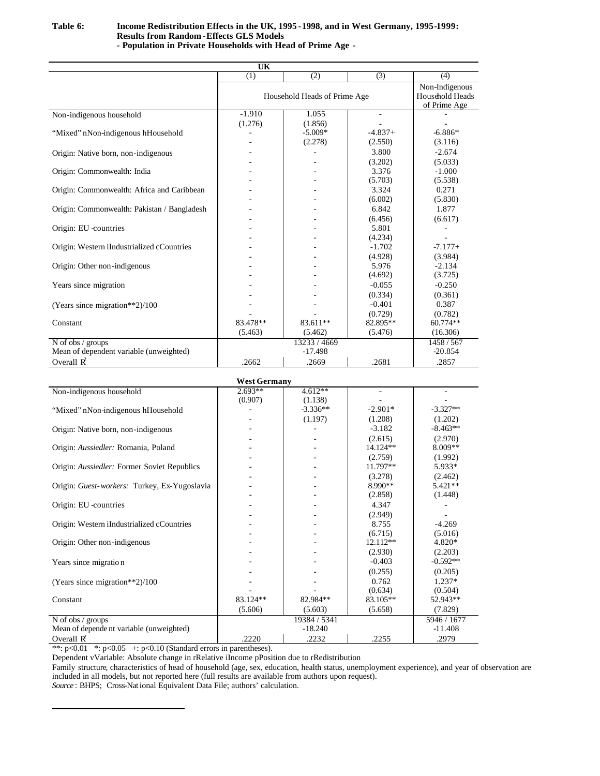#### **Table 6: Income Redistribution Effects in the UK, 1995 -1998, and in West Germany, 1995-1999: Results from Random -Effects GLS Models - Population in Private Households with Head of Prime Age -**

| UK       |                                 |                                                           |                                                                                                                                                                                                                   |  |  |  |  |  |  |
|----------|---------------------------------|-----------------------------------------------------------|-------------------------------------------------------------------------------------------------------------------------------------------------------------------------------------------------------------------|--|--|--|--|--|--|
| (1)      | (2)                             | (3)                                                       | (4)                                                                                                                                                                                                               |  |  |  |  |  |  |
|          |                                 |                                                           | Non-Indigenous<br>Household Heads<br>of Prime Age                                                                                                                                                                 |  |  |  |  |  |  |
| $-1.910$ | 1.055                           |                                                           |                                                                                                                                                                                                                   |  |  |  |  |  |  |
| (1.276)  | (1.856)<br>$-5.009*$<br>(2.278) | $-4.837+$<br>(2.550)                                      | $-6.886*$<br>(3.116)                                                                                                                                                                                              |  |  |  |  |  |  |
|          |                                 | 3.800                                                     | $-2.674$                                                                                                                                                                                                          |  |  |  |  |  |  |
|          |                                 | (3.202)                                                   | (5.033)                                                                                                                                                                                                           |  |  |  |  |  |  |
|          |                                 | 3.376                                                     | $-1.000$                                                                                                                                                                                                          |  |  |  |  |  |  |
|          |                                 | (5.703)                                                   | (5.538)                                                                                                                                                                                                           |  |  |  |  |  |  |
|          |                                 |                                                           | 0.271                                                                                                                                                                                                             |  |  |  |  |  |  |
|          |                                 |                                                           | (5.830)                                                                                                                                                                                                           |  |  |  |  |  |  |
|          |                                 |                                                           | 1.877                                                                                                                                                                                                             |  |  |  |  |  |  |
|          |                                 |                                                           | (6.617)                                                                                                                                                                                                           |  |  |  |  |  |  |
|          |                                 |                                                           |                                                                                                                                                                                                                   |  |  |  |  |  |  |
|          |                                 |                                                           |                                                                                                                                                                                                                   |  |  |  |  |  |  |
|          |                                 |                                                           | $-7.177+$                                                                                                                                                                                                         |  |  |  |  |  |  |
|          |                                 |                                                           | (3.984)                                                                                                                                                                                                           |  |  |  |  |  |  |
|          |                                 |                                                           | $-2.134$                                                                                                                                                                                                          |  |  |  |  |  |  |
|          |                                 |                                                           | (3.725)                                                                                                                                                                                                           |  |  |  |  |  |  |
|          |                                 |                                                           | $-0.250$                                                                                                                                                                                                          |  |  |  |  |  |  |
|          |                                 |                                                           | (0.361)                                                                                                                                                                                                           |  |  |  |  |  |  |
|          |                                 |                                                           | 0.387                                                                                                                                                                                                             |  |  |  |  |  |  |
|          |                                 |                                                           | (0.782)<br>60.774**                                                                                                                                                                                               |  |  |  |  |  |  |
|          |                                 |                                                           | (16.306)                                                                                                                                                                                                          |  |  |  |  |  |  |
|          |                                 |                                                           | 1458/567                                                                                                                                                                                                          |  |  |  |  |  |  |
|          |                                 |                                                           | $-20.854$                                                                                                                                                                                                         |  |  |  |  |  |  |
|          |                                 |                                                           | .2857                                                                                                                                                                                                             |  |  |  |  |  |  |
|          | 83.478**<br>(5.463)<br>.2662    | 83.611**<br>(5.462)<br>13233 / 4669<br>$-17.498$<br>.2669 | Household Heads of Prime Age<br>3.324<br>(6.002)<br>6.842<br>(6.456)<br>5.801<br>(4.234)<br>$-1.702$<br>(4.928)<br>5.976<br>(4.692)<br>$-0.055$<br>(0.334)<br>$-0.401$<br>(0.729)<br>82.895**<br>(5.476)<br>.2681 |  |  |  |  |  |  |

|                                              | <b>West Germany</b> |              |            |                          |
|----------------------------------------------|---------------------|--------------|------------|--------------------------|
| Non-indigenous household                     | $2.693**$           | $4.612**$    |            | $\overline{\phantom{a}}$ |
|                                              | (0.907)             | (1.138)      |            |                          |
| "Mixed" nNon-indigenous hHousehold           |                     | $-3.336**$   | $-2.901*$  | $-3.327**$               |
|                                              |                     | (1.197)      | (1.208)    | (1.202)                  |
| Origin: Native born, non-indigenous          |                     |              | $-3.182$   | $-8.463**$               |
|                                              |                     |              | (2.615)    | (2.970)                  |
| Origin: Aussiedler: Romania, Poland          |                     |              | $14.124**$ | $8.009**$                |
|                                              |                     |              | (2.759)    | (1.992)                  |
| Origin: Aussiedler: Former Soviet Republics  |                     |              | $11.797**$ | 5.933*                   |
|                                              |                     |              | (3.278)    | (2.462)                  |
| Origin: Guest-workers: Turkey, Ex-Yugoslavia |                     |              | 8.990**    | $5.421**$                |
|                                              |                     |              | (2.858)    | (1.448)                  |
| Origin: EU -countries                        |                     |              | 4.347      |                          |
|                                              |                     |              | (2.949)    |                          |
| Origin: Western iIndustrialized cCountries   |                     |              | 8.755      | $-4.269$                 |
|                                              |                     |              | (6.715)    | (5.016)                  |
| Origin: Other non-indigenous                 |                     |              | $12.112**$ | 4.820*                   |
|                                              |                     |              | (2.930)    | (2.203)                  |
| Years since migration                        |                     |              | $-0.403$   | $-0.592**$               |
|                                              |                     |              | (0.255)    | (0.205)                  |
| (Years since migration**2)/100               |                     |              | 0.762      | $1.237*$                 |
|                                              |                     |              | (0.634)    | (0.504)                  |
| Constant                                     | 83.124**            | 82.984**     | 83.105**   | 52.943**                 |
|                                              | (5.606)             | (5.603)      | (5.658)    | (7.829)                  |
| N of obs / groups                            |                     | 19384 / 5341 |            | 5946 / 1677              |
| Mean of depende nt variable (unweighted)     |                     | $-18.240$    |            | $-11.408$                |
| Overall $\mathbb{R}^2$                       | .2220               | .2232        | .2255      | .2979                    |

\*\*:  $p<0.01$  \*:  $p<0.05$  +:  $p<0.10$  (Standard errors in parentheses).

 $\overline{\phantom{a}}$ 

Dependent vVariable: Absolute change in rRelative iIncome pPosition due to rRedistribution

Family structure, characteristics of head of household (age, sex, education, health status, unemployment experience), and year of observation are included in all models, but not reported here (full results are available from authors upon request).

*Source* : BHPS; Cross-Nat ional Equivalent Data File; authors' calculation.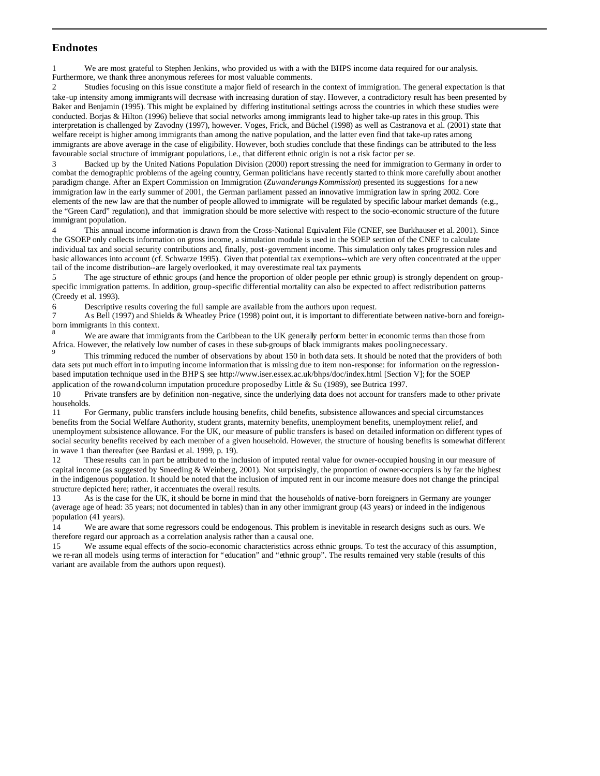### **Endnotes**

l

1 We are most grateful to Stephen Jenkins, who provided us with a with the BHPS income data required for our analysis. Furthermore, we thank three anonymous referees for most valuable comments.

2 Studies focusing on this issue constitute a major field of research in the context of immigration. The general expectation is that take-up intensity among immigrants will decrease with increasing duration of stay. However, a contradictory result has been presented by Baker and Benjamin (1995). This might be explained by differing institutional settings across the countries in which these studies were conducted. Borjas & Hilton (1996) believe that social networks among immigrants lead to higher take-up rates in this group. This interpretation is challenged by Zavodny (1997), however. Voges, Frick, and Büchel (1998) as well as Castranova et al. (2001) state that welfare receipt is higher among immigrants than among the native population, and the latter even find that take-up rates among immigrants are above average in the case of eligibility. However, both studies conclude that these findings can be attributed to the less favourable social structure of immigrant populations, i.e., that different ethnic origin is not a risk factor per se.

3 Backed up by the United Nations Population Division (2000) report stressing the need for immigration to Germany in order to combat the demographic problems of the ageing country, German politicians have recently started to think more carefully about another paradigm change. After an Expert Commission on Immigration (*Zuwanderungs-Kommission*) presented its suggestions for a new immigration law in the early summer of 2001, the German parliament passed an innovative immigration law in spring 2002. Core elements of the new law are that the number of people allowed to immigrate will be regulated by specific labour market demands (e.g., the "Green Card" regulation), and that immigration should be more selective with respect to the socio-economic structure of the future immigrant population.

4 This annual income information is drawn from the Cross-National Equivalent File (CNEF, see Burkhauser et al. 2001). Since the GSOEP only collects information on gross income, a simulation module is used in the SOEP section of the CNEF to calculate individual tax and social security contributions and, finally, post-government income. This simulation only takes progression rules and basic allowances into account (cf. Schwarze 1995). Given that potential tax exemptions--which are very often concentrated at the upper tail of the income distribution--are largely overlooked, it may overestimate real tax payments.

The age structure of ethnic groups (and hence the proportion of older people per ethnic group) is strongly dependent on groupspecific immigration patterns. In addition, group-specific differential mortality can also be expected to affect redistribution patterns (Creedy et al. 1993).

6 Descriptive results covering the full sample are available from the authors upon request.

As Bell (1997) and Shields & Wheatley Price (1998) point out, it is important to differentiate between native-born and foreignborn immigrants in this context.

We are aware that immigrants from the Caribbean to the UK generally perform better in economic terms than those from Africa. However, the relatively low number of cases in these sub-groups of black immigrants makes poolingnecessary.

9 This trimming reduced the number of observations by about 150 in both data sets. It should be noted that the providers of both data sets put much effort in to imputing income information that is missing due to item non-response: for information on the regressionbased imputation technique used in the BHP S, see http://www.iser.essex.ac.uk/bhps/doc/index.html [Section V]; for the SOEP application of the row-and-column imputation procedure proposed by Little & Su (1989), see Butrica 1997.

10 Private transfers are by definition non-negative, since the underlying data does not account for transfers made to other private households.

11 For Germany, public transfers include housing benefits, child benefits, subsistence allowances and special circumstances benefits from the Social Welfare Authority, student grants, maternity benefits, unemployment benefits, unemployment relief, and unemployment subsistence allowance. For the UK, our measure of public transfers is based on detailed information on different types of social security benefits received by each member of a given household. However, the structure of housing benefits is somewhat different in wave 1 than thereafter (see Bardasi et al. 1999, p. 19).

12 These results can in part be attributed to the inclusion of imputed rental value for owner-occupied housing in our measure of capital income (as suggested by Smeeding & Weinberg, 2001). Not surprisingly, the proportion of owner-occupiers is by far the highest in the indigenous population. It should be noted that the inclusion of imputed rent in our income measure does not change the principal structure depicted here; rather, it accentuates the overall results.

13 As is the case for the UK, it should be borne in mind that the households of native-born foreigners in Germany are younger (average age of head: 35 years; not documented in tables) than in any other immigrant group (43 years) or indeed in the indigenous population (41 years).

14 We are aware that some regressors could be endogenous. This problem is inevitable in research designs such as ours. We therefore regard our approach as a correlation analysis rather than a causal one.

15 We assume equal effects of the socio-economic characteristics across ethnic groups. To test the accuracy of this assumption, we re-ran all models using terms of interaction for "education" and "ethnic group". The results remained very stable (results of this variant are available from the authors upon request).